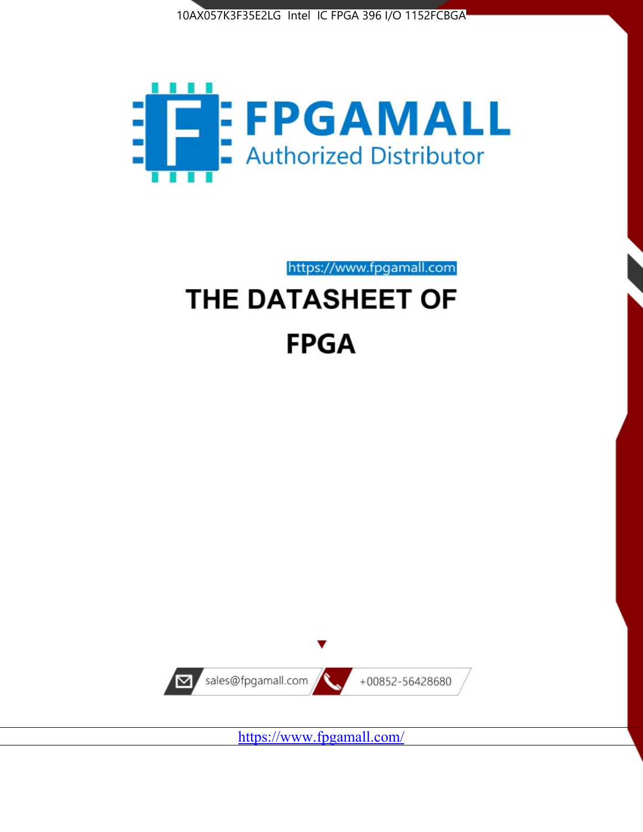



https://www.fpgamall.com

# THE DATASHEET OF **FPGA**



<https://www.fpgamall.com/>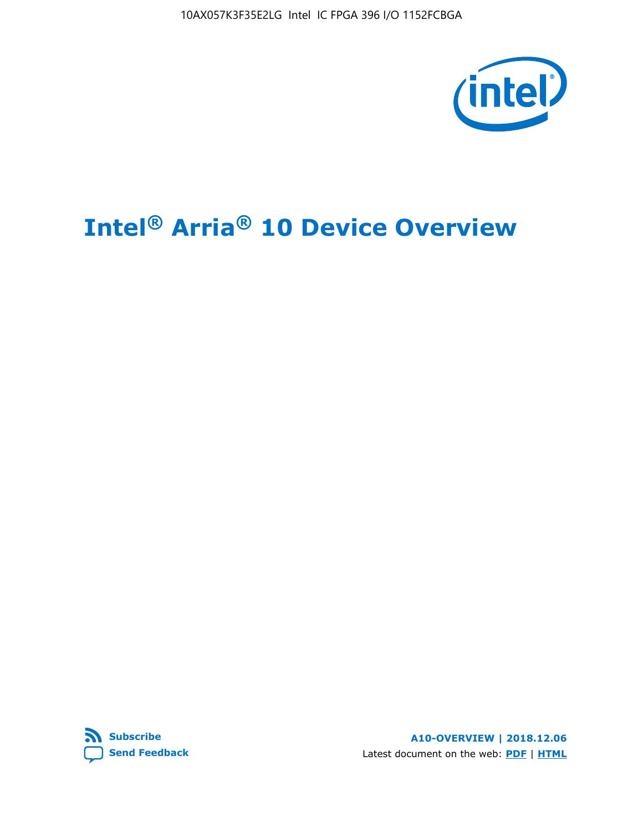10AX057K3F35E2LG Intel IC FPGA 396 I/O 1152FCBGA



# **Intel® Arria® 10 Device Overview**



**A10-OVERVIEW | 2018.12.06** Latest document on the web: **[PDF](https://www.intel.com/content/dam/www/programmable/us/en/pdfs/literature/hb/arria-10/a10_overview.pdf)** | **[HTML](https://www.intel.com/content/www/us/en/programmable/documentation/sam1403480274650.html)**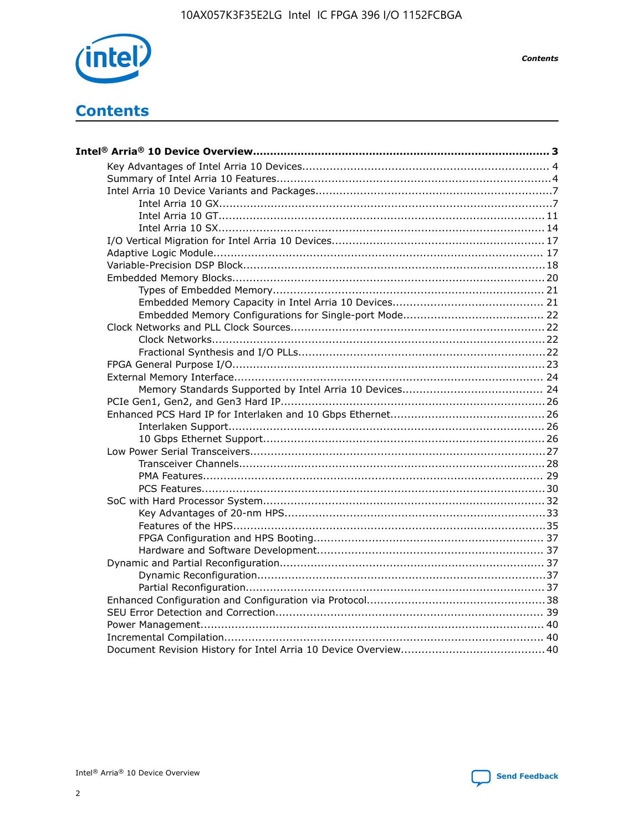

**Contents** 

## **Contents**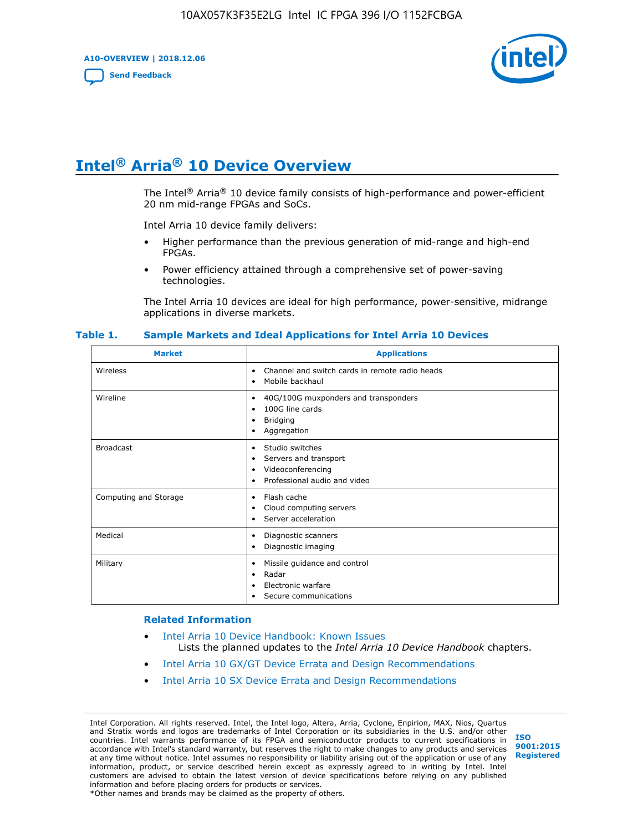**A10-OVERVIEW | 2018.12.06**

**[Send Feedback](mailto:FPGAtechdocfeedback@intel.com?subject=Feedback%20on%20Intel%20Arria%2010%20Device%20Overview%20(A10-OVERVIEW%202018.12.06)&body=We%20appreciate%20your%20feedback.%20In%20your%20comments,%20also%20specify%20the%20page%20number%20or%20paragraph.%20Thank%20you.)**



# **Intel® Arria® 10 Device Overview**

The Intel<sup>®</sup> Arria<sup>®</sup> 10 device family consists of high-performance and power-efficient 20 nm mid-range FPGAs and SoCs.

Intel Arria 10 device family delivers:

- Higher performance than the previous generation of mid-range and high-end FPGAs.
- Power efficiency attained through a comprehensive set of power-saving technologies.

The Intel Arria 10 devices are ideal for high performance, power-sensitive, midrange applications in diverse markets.

| <b>Market</b>         | <b>Applications</b>                                                                                               |
|-----------------------|-------------------------------------------------------------------------------------------------------------------|
| Wireless              | Channel and switch cards in remote radio heads<br>٠<br>Mobile backhaul<br>٠                                       |
| Wireline              | 40G/100G muxponders and transponders<br>٠<br>100G line cards<br>٠<br><b>Bridging</b><br>٠<br>Aggregation<br>٠     |
| <b>Broadcast</b>      | Studio switches<br>٠<br>Servers and transport<br>٠<br>Videoconferencing<br>٠<br>Professional audio and video<br>٠ |
| Computing and Storage | Flash cache<br>٠<br>Cloud computing servers<br>٠<br>Server acceleration<br>٠                                      |
| Medical               | Diagnostic scanners<br>٠<br>Diagnostic imaging<br>٠                                                               |
| Military              | Missile guidance and control<br>٠<br>Radar<br>٠<br>Electronic warfare<br>٠<br>Secure communications<br>٠          |

#### **Table 1. Sample Markets and Ideal Applications for Intel Arria 10 Devices**

#### **Related Information**

- [Intel Arria 10 Device Handbook: Known Issues](http://www.altera.com/support/kdb/solutions/rd07302013_646.html) Lists the planned updates to the *Intel Arria 10 Device Handbook* chapters.
- [Intel Arria 10 GX/GT Device Errata and Design Recommendations](https://www.intel.com/content/www/us/en/programmable/documentation/agz1493851706374.html#yqz1494433888646)
- [Intel Arria 10 SX Device Errata and Design Recommendations](https://www.intel.com/content/www/us/en/programmable/documentation/cru1462832385668.html#cru1462832558642)

Intel Corporation. All rights reserved. Intel, the Intel logo, Altera, Arria, Cyclone, Enpirion, MAX, Nios, Quartus and Stratix words and logos are trademarks of Intel Corporation or its subsidiaries in the U.S. and/or other countries. Intel warrants performance of its FPGA and semiconductor products to current specifications in accordance with Intel's standard warranty, but reserves the right to make changes to any products and services at any time without notice. Intel assumes no responsibility or liability arising out of the application or use of any information, product, or service described herein except as expressly agreed to in writing by Intel. Intel customers are advised to obtain the latest version of device specifications before relying on any published information and before placing orders for products or services. \*Other names and brands may be claimed as the property of others.

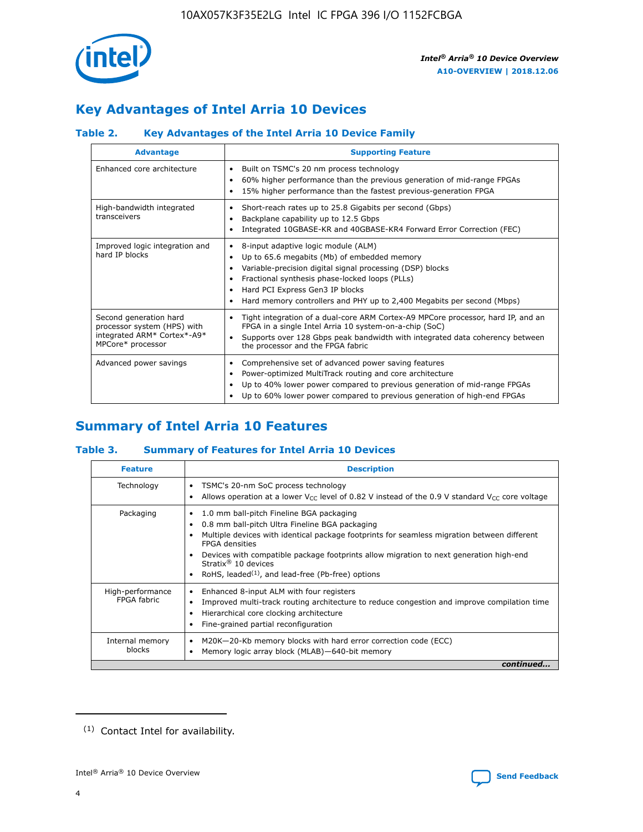

## **Key Advantages of Intel Arria 10 Devices**

## **Table 2. Key Advantages of the Intel Arria 10 Device Family**

| <b>Advantage</b>                                                                                          | <b>Supporting Feature</b>                                                                                                                                                                                                                                                                                                |  |  |  |  |  |  |
|-----------------------------------------------------------------------------------------------------------|--------------------------------------------------------------------------------------------------------------------------------------------------------------------------------------------------------------------------------------------------------------------------------------------------------------------------|--|--|--|--|--|--|
| Enhanced core architecture                                                                                | Built on TSMC's 20 nm process technology<br>٠<br>60% higher performance than the previous generation of mid-range FPGAs<br>٠<br>15% higher performance than the fastest previous-generation FPGA<br>٠                                                                                                                    |  |  |  |  |  |  |
| High-bandwidth integrated<br>transceivers                                                                 | Short-reach rates up to 25.8 Gigabits per second (Gbps)<br>٠<br>Backplane capability up to 12.5 Gbps<br>٠<br>Integrated 10GBASE-KR and 40GBASE-KR4 Forward Error Correction (FEC)<br>٠                                                                                                                                   |  |  |  |  |  |  |
| Improved logic integration and<br>hard IP blocks                                                          | 8-input adaptive logic module (ALM)<br>٠<br>Up to 65.6 megabits (Mb) of embedded memory<br>٠<br>Variable-precision digital signal processing (DSP) blocks<br>Fractional synthesis phase-locked loops (PLLs)<br>Hard PCI Express Gen3 IP blocks<br>Hard memory controllers and PHY up to 2,400 Megabits per second (Mbps) |  |  |  |  |  |  |
| Second generation hard<br>processor system (HPS) with<br>integrated ARM* Cortex*-A9*<br>MPCore* processor | Tight integration of a dual-core ARM Cortex-A9 MPCore processor, hard IP, and an<br>٠<br>FPGA in a single Intel Arria 10 system-on-a-chip (SoC)<br>Supports over 128 Gbps peak bandwidth with integrated data coherency between<br>$\bullet$<br>the processor and the FPGA fabric                                        |  |  |  |  |  |  |
| Advanced power savings                                                                                    | Comprehensive set of advanced power saving features<br>٠<br>Power-optimized MultiTrack routing and core architecture<br>٠<br>Up to 40% lower power compared to previous generation of mid-range FPGAs<br>Up to 60% lower power compared to previous generation of high-end FPGAs                                         |  |  |  |  |  |  |

## **Summary of Intel Arria 10 Features**

## **Table 3. Summary of Features for Intel Arria 10 Devices**

| <b>Feature</b>                  | <b>Description</b>                                                                                                                                                                                                                                                                                                                                                                                       |
|---------------------------------|----------------------------------------------------------------------------------------------------------------------------------------------------------------------------------------------------------------------------------------------------------------------------------------------------------------------------------------------------------------------------------------------------------|
| Technology                      | TSMC's 20-nm SoC process technology<br>٠<br>Allows operation at a lower $V_{\text{CC}}$ level of 0.82 V instead of the 0.9 V standard $V_{\text{CC}}$ core voltage                                                                                                                                                                                                                                       |
| Packaging                       | 1.0 mm ball-pitch Fineline BGA packaging<br>0.8 mm ball-pitch Ultra Fineline BGA packaging<br>Multiple devices with identical package footprints for seamless migration between different<br><b>FPGA</b> densities<br>Devices with compatible package footprints allow migration to next generation high-end<br>Stratix $\mathcal{R}$ 10 devices<br>RoHS, leaded $(1)$ , and lead-free (Pb-free) options |
| High-performance<br>FPGA fabric | Enhanced 8-input ALM with four registers<br>٠<br>Improved multi-track routing architecture to reduce congestion and improve compilation time<br>Hierarchical core clocking architecture<br>Fine-grained partial reconfiguration                                                                                                                                                                          |
| Internal memory<br>blocks       | M20K-20-Kb memory blocks with hard error correction code (ECC)<br>Memory logic array block (MLAB)-640-bit memory                                                                                                                                                                                                                                                                                         |
|                                 | continued                                                                                                                                                                                                                                                                                                                                                                                                |



<sup>(1)</sup> Contact Intel for availability.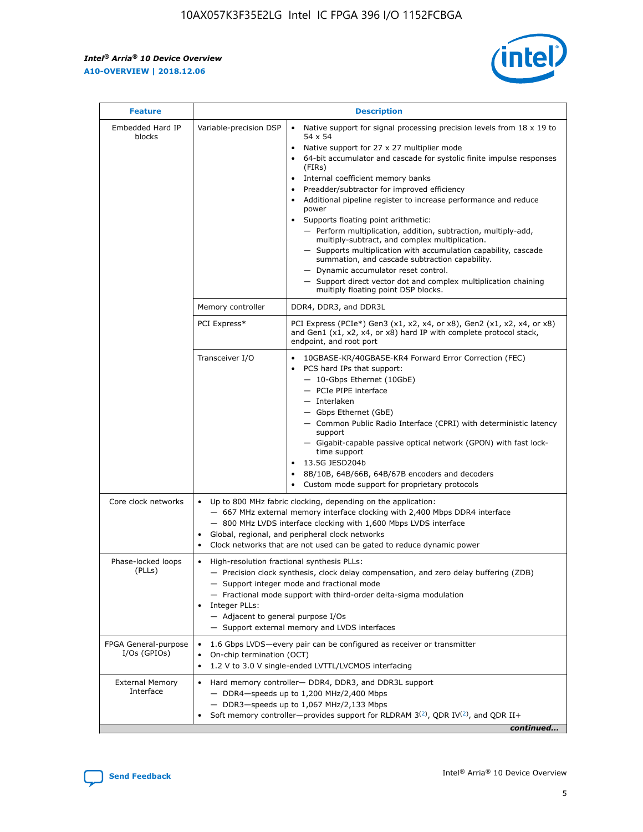r



| <b>Feature</b>                         | <b>Description</b>                                                                                             |                                                                                                                                                                                                                                                                                                                                                                                                                                                                                                                                                                                                                                                                                                                                                                                                                                                                  |  |  |  |  |  |
|----------------------------------------|----------------------------------------------------------------------------------------------------------------|------------------------------------------------------------------------------------------------------------------------------------------------------------------------------------------------------------------------------------------------------------------------------------------------------------------------------------------------------------------------------------------------------------------------------------------------------------------------------------------------------------------------------------------------------------------------------------------------------------------------------------------------------------------------------------------------------------------------------------------------------------------------------------------------------------------------------------------------------------------|--|--|--|--|--|
| Embedded Hard IP<br>blocks             | Variable-precision DSP                                                                                         | Native support for signal processing precision levels from $18 \times 19$ to<br>$\bullet$<br>54 x 54<br>Native support for 27 x 27 multiplier mode<br>$\bullet$<br>64-bit accumulator and cascade for systolic finite impulse responses<br>(FIRs)<br>Internal coefficient memory banks<br>$\bullet$<br>Preadder/subtractor for improved efficiency<br>Additional pipeline register to increase performance and reduce<br>power<br>Supports floating point arithmetic:<br>- Perform multiplication, addition, subtraction, multiply-add,<br>multiply-subtract, and complex multiplication.<br>- Supports multiplication with accumulation capability, cascade<br>summation, and cascade subtraction capability.<br>- Dynamic accumulator reset control.<br>- Support direct vector dot and complex multiplication chaining<br>multiply floating point DSP blocks. |  |  |  |  |  |
|                                        | Memory controller                                                                                              | DDR4, DDR3, and DDR3L                                                                                                                                                                                                                                                                                                                                                                                                                                                                                                                                                                                                                                                                                                                                                                                                                                            |  |  |  |  |  |
|                                        | PCI Express*                                                                                                   | PCI Express (PCIe*) Gen3 (x1, x2, x4, or x8), Gen2 (x1, x2, x4, or x8)<br>and Gen1 (x1, x2, x4, or x8) hard IP with complete protocol stack,<br>endpoint, and root port                                                                                                                                                                                                                                                                                                                                                                                                                                                                                                                                                                                                                                                                                          |  |  |  |  |  |
|                                        | Transceiver I/O                                                                                                | 10GBASE-KR/40GBASE-KR4 Forward Error Correction (FEC)<br>PCS hard IPs that support:<br>- 10-Gbps Ethernet (10GbE)<br>- PCIe PIPE interface<br>- Interlaken<br>- Gbps Ethernet (GbE)<br>- Common Public Radio Interface (CPRI) with deterministic latency<br>support<br>- Gigabit-capable passive optical network (GPON) with fast lock-<br>time support<br>13.5G JESD204b<br>$\bullet$<br>8B/10B, 64B/66B, 64B/67B encoders and decoders<br>Custom mode support for proprietary protocols                                                                                                                                                                                                                                                                                                                                                                        |  |  |  |  |  |
| Core clock networks                    | $\bullet$                                                                                                      | Up to 800 MHz fabric clocking, depending on the application:<br>- 667 MHz external memory interface clocking with 2,400 Mbps DDR4 interface<br>- 800 MHz LVDS interface clocking with 1,600 Mbps LVDS interface<br>Global, regional, and peripheral clock networks<br>Clock networks that are not used can be gated to reduce dynamic power                                                                                                                                                                                                                                                                                                                                                                                                                                                                                                                      |  |  |  |  |  |
| Phase-locked loops<br>(PLLs)           | High-resolution fractional synthesis PLLs:<br>$\bullet$<br>Integer PLLs:<br>- Adjacent to general purpose I/Os | - Precision clock synthesis, clock delay compensation, and zero delay buffering (ZDB)<br>- Support integer mode and fractional mode<br>- Fractional mode support with third-order delta-sigma modulation<br>- Support external memory and LVDS interfaces                                                                                                                                                                                                                                                                                                                                                                                                                                                                                                                                                                                                        |  |  |  |  |  |
| FPGA General-purpose<br>$I/Os$ (GPIOs) | On-chip termination (OCT)<br>٠<br>$\bullet$                                                                    | 1.6 Gbps LVDS-every pair can be configured as receiver or transmitter<br>1.2 V to 3.0 V single-ended LVTTL/LVCMOS interfacing                                                                                                                                                                                                                                                                                                                                                                                                                                                                                                                                                                                                                                                                                                                                    |  |  |  |  |  |
| <b>External Memory</b><br>Interface    | $\bullet$                                                                                                      | Hard memory controller- DDR4, DDR3, and DDR3L support<br>$-$ DDR4-speeds up to 1,200 MHz/2,400 Mbps<br>- DDR3-speeds up to 1,067 MHz/2,133 Mbps<br>Soft memory controller—provides support for RLDRAM $3^{(2)}$ , QDR IV $^{(2)}$ , and QDR II+<br>continued                                                                                                                                                                                                                                                                                                                                                                                                                                                                                                                                                                                                     |  |  |  |  |  |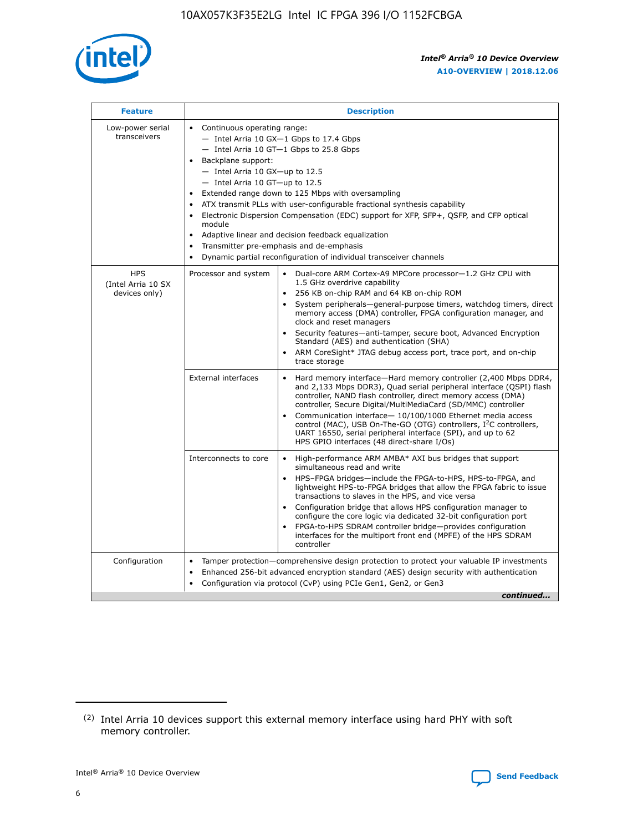

| <b>Feature</b>                                    | <b>Description</b>                                                                                                                                                                                                                                                                                                                                                                                                                                                                                                                                                                                                                             |
|---------------------------------------------------|------------------------------------------------------------------------------------------------------------------------------------------------------------------------------------------------------------------------------------------------------------------------------------------------------------------------------------------------------------------------------------------------------------------------------------------------------------------------------------------------------------------------------------------------------------------------------------------------------------------------------------------------|
| Low-power serial<br>transceivers                  | • Continuous operating range:<br>- Intel Arria 10 GX-1 Gbps to 17.4 Gbps<br>- Intel Arria 10 GT-1 Gbps to 25.8 Gbps<br>Backplane support:<br>$-$ Intel Arria 10 GX-up to 12.5<br>$-$ Intel Arria 10 GT-up to 12.5<br>Extended range down to 125 Mbps with oversampling<br>ATX transmit PLLs with user-configurable fractional synthesis capability<br>• Electronic Dispersion Compensation (EDC) support for XFP, SFP+, QSFP, and CFP optical<br>module<br>• Adaptive linear and decision feedback equalization<br>Transmitter pre-emphasis and de-emphasis<br>$\bullet$<br>Dynamic partial reconfiguration of individual transceiver channels |
| <b>HPS</b><br>(Intel Arria 10 SX<br>devices only) | Processor and system<br>Dual-core ARM Cortex-A9 MPCore processor-1.2 GHz CPU with<br>$\bullet$<br>1.5 GHz overdrive capability<br>256 KB on-chip RAM and 64 KB on-chip ROM<br>$\bullet$<br>System peripherals-general-purpose timers, watchdog timers, direct<br>memory access (DMA) controller, FPGA configuration manager, and<br>clock and reset managers<br>• Security features—anti-tamper, secure boot, Advanced Encryption<br>Standard (AES) and authentication (SHA)<br>ARM CoreSight* JTAG debug access port, trace port, and on-chip<br>trace storage                                                                                |
|                                                   | <b>External interfaces</b><br>Hard memory interface—Hard memory controller (2,400 Mbps DDR4,<br>$\bullet$<br>and 2,133 Mbps DDR3), Quad serial peripheral interface (QSPI) flash<br>controller, NAND flash controller, direct memory access (DMA)<br>controller, Secure Digital/MultiMediaCard (SD/MMC) controller<br>Communication interface-10/100/1000 Ethernet media access<br>control (MAC), USB On-The-GO (OTG) controllers, I <sup>2</sup> C controllers,<br>UART 16550, serial peripheral interface (SPI), and up to 62<br>HPS GPIO interfaces (48 direct-share I/Os)                                                                  |
|                                                   | High-performance ARM AMBA* AXI bus bridges that support<br>Interconnects to core<br>$\bullet$<br>simultaneous read and write<br>HPS-FPGA bridges—include the FPGA-to-HPS, HPS-to-FPGA, and<br>$\bullet$<br>lightweight HPS-to-FPGA bridges that allow the FPGA fabric to issue<br>transactions to slaves in the HPS, and vice versa<br>Configuration bridge that allows HPS configuration manager to<br>configure the core logic via dedicated 32-bit configuration port<br>FPGA-to-HPS SDRAM controller bridge-provides configuration<br>interfaces for the multiport front end (MPFE) of the HPS SDRAM<br>controller                         |
| Configuration                                     | Tamper protection—comprehensive design protection to protect your valuable IP investments<br>Enhanced 256-bit advanced encryption standard (AES) design security with authentication<br>$\bullet$<br>Configuration via protocol (CvP) using PCIe Gen1, Gen2, or Gen3<br>continued                                                                                                                                                                                                                                                                                                                                                              |

<sup>(2)</sup> Intel Arria 10 devices support this external memory interface using hard PHY with soft memory controller.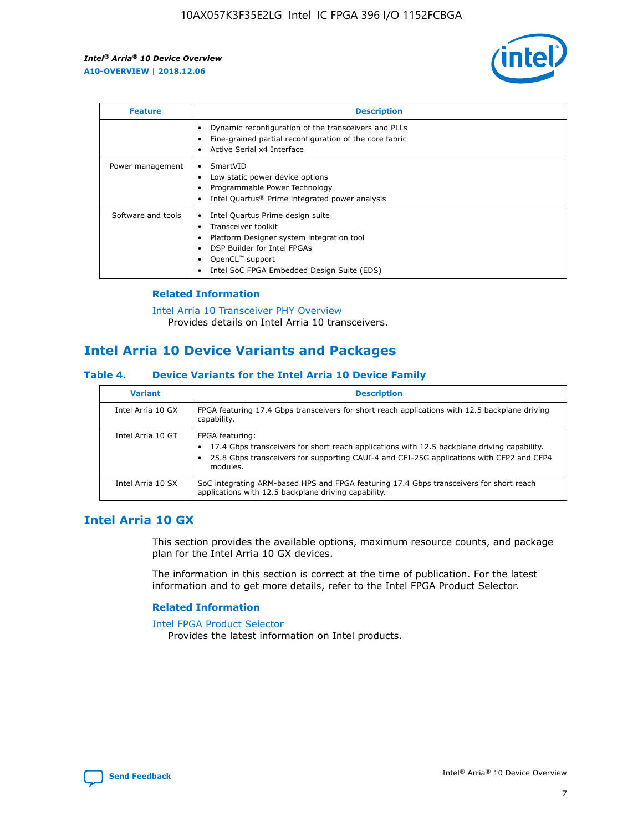

| <b>Feature</b>     | <b>Description</b>                                                                                                                                                                                                            |
|--------------------|-------------------------------------------------------------------------------------------------------------------------------------------------------------------------------------------------------------------------------|
|                    | Dynamic reconfiguration of the transceivers and PLLs<br>Fine-grained partial reconfiguration of the core fabric<br>Active Serial x4 Interface<br>$\bullet$                                                                    |
| Power management   | SmartVID<br>Low static power device options<br>Programmable Power Technology<br>Intel Quartus <sup>®</sup> Prime integrated power analysis                                                                                    |
| Software and tools | Intel Quartus Prime design suite<br>Transceiver toolkit<br>$\bullet$<br>Platform Designer system integration tool<br>DSP Builder for Intel FPGAs<br>OpenCL <sup>™</sup> support<br>Intel SoC FPGA Embedded Design Suite (EDS) |

## **Related Information**

[Intel Arria 10 Transceiver PHY Overview](https://www.intel.com/content/www/us/en/programmable/documentation/nik1398707230472.html#nik1398706768037) Provides details on Intel Arria 10 transceivers.

## **Intel Arria 10 Device Variants and Packages**

#### **Table 4. Device Variants for the Intel Arria 10 Device Family**

| <b>Variant</b>    | <b>Description</b>                                                                                                                                                                                                     |
|-------------------|------------------------------------------------------------------------------------------------------------------------------------------------------------------------------------------------------------------------|
| Intel Arria 10 GX | FPGA featuring 17.4 Gbps transceivers for short reach applications with 12.5 backplane driving<br>capability.                                                                                                          |
| Intel Arria 10 GT | FPGA featuring:<br>17.4 Gbps transceivers for short reach applications with 12.5 backplane driving capability.<br>25.8 Gbps transceivers for supporting CAUI-4 and CEI-25G applications with CFP2 and CFP4<br>modules. |
| Intel Arria 10 SX | SoC integrating ARM-based HPS and FPGA featuring 17.4 Gbps transceivers for short reach<br>applications with 12.5 backplane driving capability.                                                                        |

## **Intel Arria 10 GX**

This section provides the available options, maximum resource counts, and package plan for the Intel Arria 10 GX devices.

The information in this section is correct at the time of publication. For the latest information and to get more details, refer to the Intel FPGA Product Selector.

#### **Related Information**

#### [Intel FPGA Product Selector](http://www.altera.com/products/selector/psg-selector.html) Provides the latest information on Intel products.

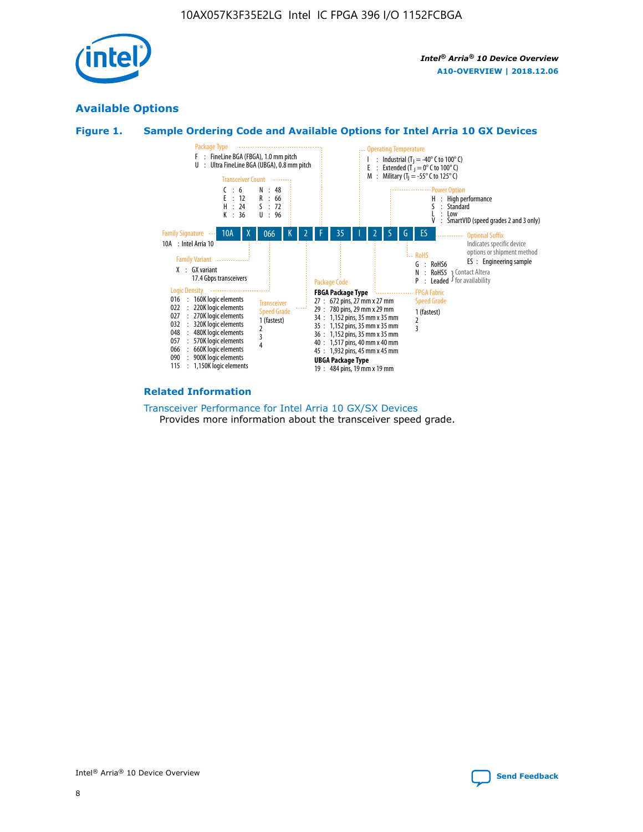

## **Available Options**





#### **Related Information**

[Transceiver Performance for Intel Arria 10 GX/SX Devices](https://www.intel.com/content/www/us/en/programmable/documentation/mcn1413182292568.html#mcn1413213965502) Provides more information about the transceiver speed grade.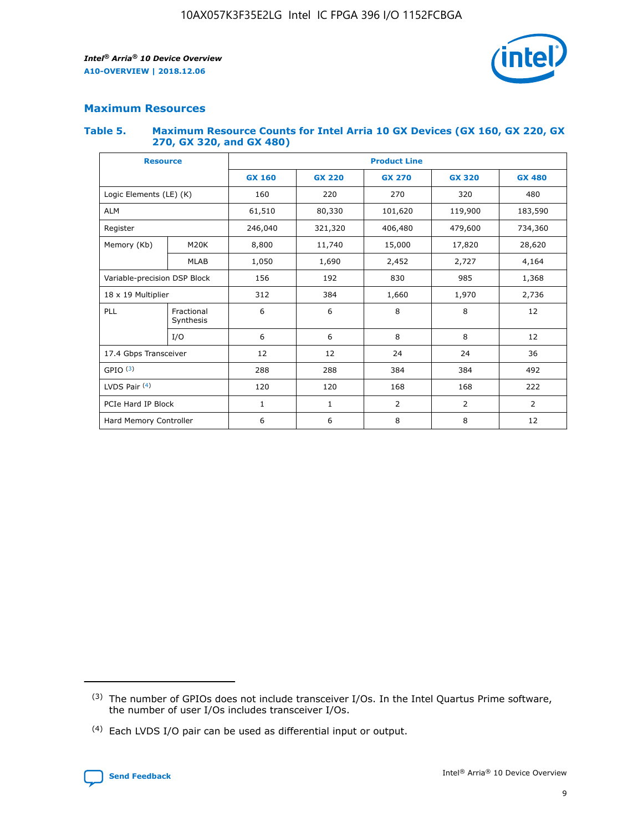

## **Maximum Resources**

#### **Table 5. Maximum Resource Counts for Intel Arria 10 GX Devices (GX 160, GX 220, GX 270, GX 320, and GX 480)**

| <b>Resource</b>         |                                                          | <b>Product Line</b> |                                                 |                |                |                |  |  |  |
|-------------------------|----------------------------------------------------------|---------------------|-------------------------------------------------|----------------|----------------|----------------|--|--|--|
|                         |                                                          | <b>GX 160</b>       | <b>GX 220</b><br><b>GX 270</b><br><b>GX 320</b> |                |                | <b>GX 480</b>  |  |  |  |
| Logic Elements (LE) (K) |                                                          | 160                 | 220                                             | 270            | 320            | 480            |  |  |  |
| <b>ALM</b>              |                                                          | 61,510              | 80,330                                          | 101,620        | 119,900        | 183,590        |  |  |  |
| Register                |                                                          | 246,040             | 321,320                                         | 406,480        | 479,600        | 734,360        |  |  |  |
| Memory (Kb)             | M <sub>20</sub> K                                        | 8,800               | 11,740                                          | 15,000         | 17,820         | 28,620         |  |  |  |
|                         | <b>MLAB</b>                                              | 1,050               | 1,690                                           | 2,452          | 2,727          | 4,164          |  |  |  |
|                         | 985<br>Variable-precision DSP Block<br>156<br>192<br>830 |                     |                                                 |                | 1,368          |                |  |  |  |
| 18 x 19 Multiplier      |                                                          | 312                 | 384                                             | 1,660          | 1,970          | 2,736          |  |  |  |
| PLL                     | Fractional<br>Synthesis                                  | 6                   | 6                                               | 8              | 8              | 12             |  |  |  |
|                         | I/O                                                      | 6                   | 6                                               | 8              | 8              | 12             |  |  |  |
| 17.4 Gbps Transceiver   |                                                          | 12                  | 12                                              | 24             | 24             |                |  |  |  |
| GPIO <sup>(3)</sup>     |                                                          | 288                 | 288                                             | 384<br>384     |                | 492            |  |  |  |
| LVDS Pair $(4)$         |                                                          | 120                 | 120                                             | 168            | 168            | 222            |  |  |  |
| PCIe Hard IP Block      |                                                          | $\mathbf{1}$        | 1                                               | $\overline{2}$ | $\overline{2}$ | $\overline{2}$ |  |  |  |
| Hard Memory Controller  |                                                          | 6                   | 6                                               | 8              | 8              | 12             |  |  |  |

<sup>(4)</sup> Each LVDS I/O pair can be used as differential input or output.



<sup>(3)</sup> The number of GPIOs does not include transceiver I/Os. In the Intel Quartus Prime software, the number of user I/Os includes transceiver I/Os.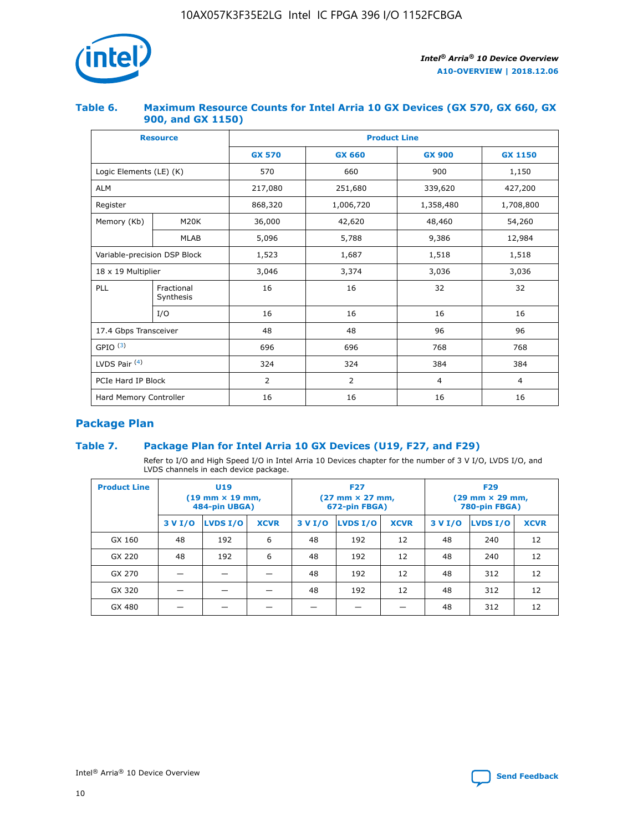

## **Table 6. Maximum Resource Counts for Intel Arria 10 GX Devices (GX 570, GX 660, GX 900, and GX 1150)**

|                              | <b>Resource</b>         | <b>Product Line</b> |                |                |                |  |  |  |
|------------------------------|-------------------------|---------------------|----------------|----------------|----------------|--|--|--|
|                              |                         | <b>GX 570</b>       | <b>GX 660</b>  |                | <b>GX 1150</b> |  |  |  |
| Logic Elements (LE) (K)      |                         | 570                 | 660            | 900            | 1,150          |  |  |  |
| <b>ALM</b>                   |                         | 217,080             | 251,680        | 339,620        | 427,200        |  |  |  |
| Register                     |                         | 868,320             | 1,006,720      | 1,358,480      | 1,708,800      |  |  |  |
| Memory (Kb)                  | <b>M20K</b>             | 36,000              | 42,620         | 48,460         | 54,260         |  |  |  |
|                              | <b>MLAB</b>             | 5,096               | 5,788          | 9,386          | 12,984         |  |  |  |
| Variable-precision DSP Block |                         | 1,523               | 1,687          | 1,518          | 1,518          |  |  |  |
| $18 \times 19$ Multiplier    |                         | 3,046               | 3,374          | 3,036          | 3,036          |  |  |  |
| PLL                          | Fractional<br>Synthesis | 16                  | 16             | 32             | 32             |  |  |  |
|                              | I/O                     | 16                  | 16             | 16             | 16             |  |  |  |
| 17.4 Gbps Transceiver        |                         | 48                  | 48             | 96             | 96             |  |  |  |
| GPIO <sup>(3)</sup>          |                         | 696                 | 696            | 768            | 768            |  |  |  |
| LVDS Pair $(4)$              |                         | 324                 | 324            | 384            | 384            |  |  |  |
| PCIe Hard IP Block           |                         | 2                   | $\overline{2}$ | $\overline{4}$ | $\overline{4}$ |  |  |  |
| Hard Memory Controller       |                         | 16                  | 16             | 16             | 16             |  |  |  |

## **Package Plan**

## **Table 7. Package Plan for Intel Arria 10 GX Devices (U19, F27, and F29)**

Refer to I/O and High Speed I/O in Intel Arria 10 Devices chapter for the number of 3 V I/O, LVDS I/O, and LVDS channels in each device package.

| <b>Product Line</b> | U <sub>19</sub><br>$(19 \text{ mm} \times 19 \text{ mm})$<br>484-pin UBGA) |          |             |         | <b>F27</b><br>(27 mm × 27 mm,<br>672-pin FBGA) |             | <b>F29</b><br>(29 mm × 29 mm,<br>780-pin FBGA) |          |             |  |
|---------------------|----------------------------------------------------------------------------|----------|-------------|---------|------------------------------------------------|-------------|------------------------------------------------|----------|-------------|--|
|                     | 3 V I/O                                                                    | LVDS I/O | <b>XCVR</b> | 3 V I/O | <b>LVDS I/O</b>                                | <b>XCVR</b> | 3 V I/O                                        | LVDS I/O | <b>XCVR</b> |  |
| GX 160              | 48                                                                         | 192      | 6           | 48      | 192                                            | 12          | 48                                             | 240      | 12          |  |
| GX 220              | 48                                                                         | 192      | 6           | 48      | 192                                            | 12          | 48                                             | 240      | 12          |  |
| GX 270              |                                                                            |          |             | 48      | 192                                            | 12          | 48                                             | 312      | 12          |  |
| GX 320              |                                                                            |          |             | 48      | 192                                            | 12          | 48                                             | 312      | 12          |  |
| GX 480              |                                                                            |          |             |         |                                                |             | 48                                             | 312      | 12          |  |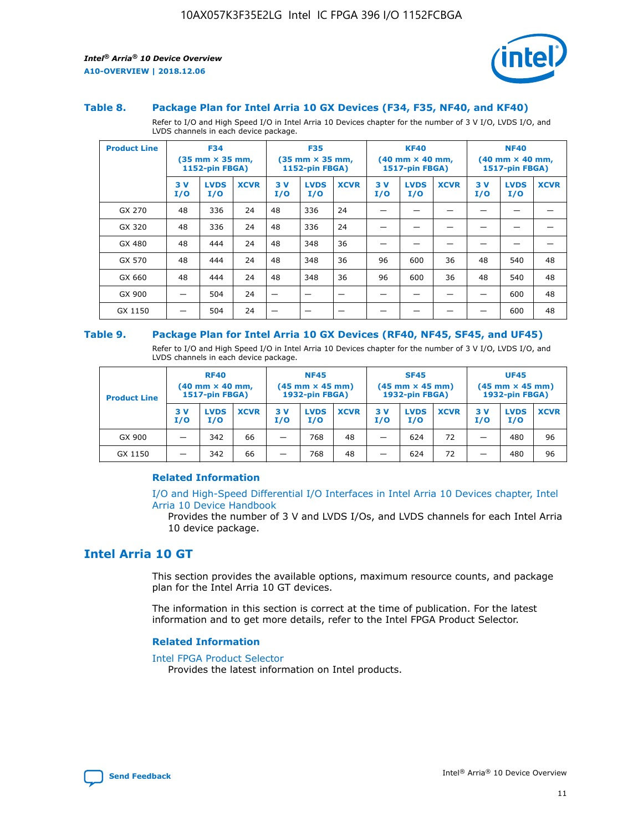

#### **Table 8. Package Plan for Intel Arria 10 GX Devices (F34, F35, NF40, and KF40)**

Refer to I/O and High Speed I/O in Intel Arria 10 Devices chapter for the number of 3 V I/O, LVDS I/O, and LVDS channels in each device package.

| <b>Product Line</b> | <b>F34</b><br>$(35 \text{ mm} \times 35 \text{ mm})$<br>1152-pin FBGA) |                    | <b>F35</b><br>$(35 \text{ mm} \times 35 \text{ mm})$<br><b>1152-pin FBGA)</b> |           | <b>KF40</b><br>$(40$ mm $\times$ 40 mm,<br>1517-pin FBGA) |             |           | <b>NF40</b><br>$(40$ mm $\times$ 40 mm,<br><b>1517-pin FBGA)</b> |             |            |                    |             |
|---------------------|------------------------------------------------------------------------|--------------------|-------------------------------------------------------------------------------|-----------|-----------------------------------------------------------|-------------|-----------|------------------------------------------------------------------|-------------|------------|--------------------|-------------|
|                     | 3V<br>I/O                                                              | <b>LVDS</b><br>I/O | <b>XCVR</b>                                                                   | 3V<br>I/O | <b>LVDS</b><br>I/O                                        | <b>XCVR</b> | 3V<br>I/O | <b>LVDS</b><br>I/O                                               | <b>XCVR</b> | 3 V<br>I/O | <b>LVDS</b><br>I/O | <b>XCVR</b> |
| GX 270              | 48                                                                     | 336                | 24                                                                            | 48        | 336                                                       | 24          |           |                                                                  |             |            |                    |             |
| GX 320              | 48                                                                     | 336                | 24                                                                            | 48        | 336                                                       | 24          |           |                                                                  |             |            |                    |             |
| GX 480              | 48                                                                     | 444                | 24                                                                            | 48        | 348                                                       | 36          |           |                                                                  |             |            |                    |             |
| GX 570              | 48                                                                     | 444                | 24                                                                            | 48        | 348                                                       | 36          | 96        | 600                                                              | 36          | 48         | 540                | 48          |
| GX 660              | 48                                                                     | 444                | 24                                                                            | 48        | 348                                                       | 36          | 96        | 600                                                              | 36          | 48         | 540                | 48          |
| GX 900              |                                                                        | 504                | 24                                                                            | -         |                                                           |             |           |                                                                  |             |            | 600                | 48          |
| GX 1150             |                                                                        | 504                | 24                                                                            |           |                                                           |             |           |                                                                  |             |            | 600                | 48          |

#### **Table 9. Package Plan for Intel Arria 10 GX Devices (RF40, NF45, SF45, and UF45)**

Refer to I/O and High Speed I/O in Intel Arria 10 Devices chapter for the number of 3 V I/O, LVDS I/O, and LVDS channels in each device package.

| <b>Product Line</b> | <b>RF40</b><br>$(40$ mm $\times$ 40 mm,<br>1517-pin FBGA) |                    |             | <b>NF45</b><br>$(45 \text{ mm} \times 45 \text{ mm})$<br><b>1932-pin FBGA)</b> |                    |             | <b>SF45</b><br>$(45 \text{ mm} \times 45 \text{ mm})$<br><b>1932-pin FBGA)</b> |                    |             | <b>UF45</b><br>$(45 \text{ mm} \times 45 \text{ mm})$<br><b>1932-pin FBGA)</b> |                    |             |
|---------------------|-----------------------------------------------------------|--------------------|-------------|--------------------------------------------------------------------------------|--------------------|-------------|--------------------------------------------------------------------------------|--------------------|-------------|--------------------------------------------------------------------------------|--------------------|-------------|
|                     | 3V<br>I/O                                                 | <b>LVDS</b><br>I/O | <b>XCVR</b> | 3 V<br>I/O                                                                     | <b>LVDS</b><br>I/O | <b>XCVR</b> | 3 V<br>I/O                                                                     | <b>LVDS</b><br>I/O | <b>XCVR</b> | 3V<br>I/O                                                                      | <b>LVDS</b><br>I/O | <b>XCVR</b> |
| GX 900              |                                                           | 342                | 66          | _                                                                              | 768                | 48          |                                                                                | 624                | 72          |                                                                                | 480                | 96          |
| GX 1150             |                                                           | 342                | 66          | _                                                                              | 768                | 48          |                                                                                | 624                | 72          |                                                                                | 480                | 96          |

## **Related Information**

[I/O and High-Speed Differential I/O Interfaces in Intel Arria 10 Devices chapter, Intel](https://www.intel.com/content/www/us/en/programmable/documentation/sam1403482614086.html#sam1403482030321) [Arria 10 Device Handbook](https://www.intel.com/content/www/us/en/programmable/documentation/sam1403482614086.html#sam1403482030321)

Provides the number of 3 V and LVDS I/Os, and LVDS channels for each Intel Arria 10 device package.

## **Intel Arria 10 GT**

This section provides the available options, maximum resource counts, and package plan for the Intel Arria 10 GT devices.

The information in this section is correct at the time of publication. For the latest information and to get more details, refer to the Intel FPGA Product Selector.

#### **Related Information**

#### [Intel FPGA Product Selector](http://www.altera.com/products/selector/psg-selector.html)

Provides the latest information on Intel products.

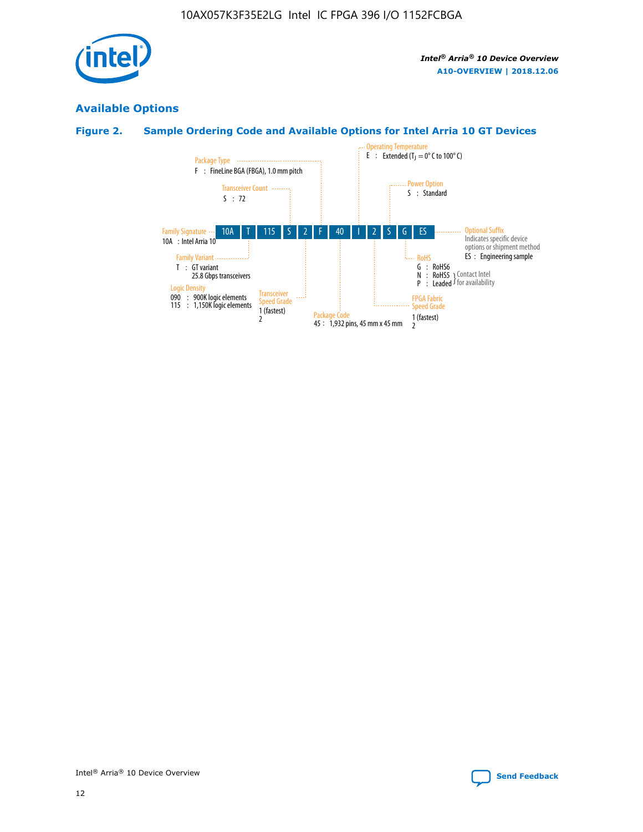

## **Available Options**

## **Figure 2. Sample Ordering Code and Available Options for Intel Arria 10 GT Devices**

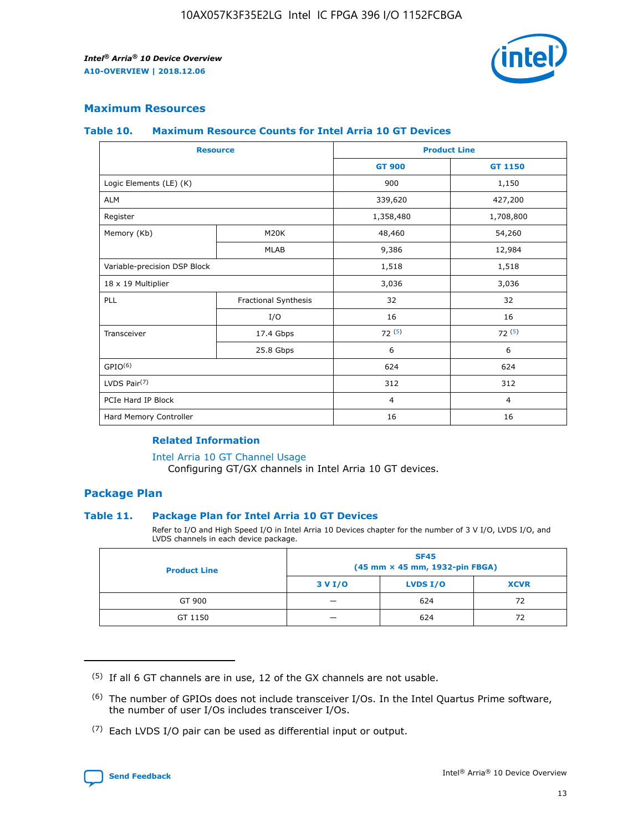

## **Maximum Resources**

#### **Table 10. Maximum Resource Counts for Intel Arria 10 GT Devices**

| <b>Resource</b>              |                      | <b>Product Line</b> |                |  |
|------------------------------|----------------------|---------------------|----------------|--|
|                              |                      | <b>GT 900</b>       | <b>GT 1150</b> |  |
| Logic Elements (LE) (K)      |                      | 900                 | 1,150          |  |
| <b>ALM</b>                   |                      | 339,620             | 427,200        |  |
| Register                     |                      | 1,358,480           | 1,708,800      |  |
| Memory (Kb)                  | M20K                 | 48,460              | 54,260         |  |
|                              | <b>MLAB</b>          | 9,386               | 12,984         |  |
| Variable-precision DSP Block |                      | 1,518               | 1,518          |  |
| 18 x 19 Multiplier           |                      | 3,036               | 3,036          |  |
| PLL                          | Fractional Synthesis | 32                  | 32             |  |
|                              | I/O                  | 16                  | 16             |  |
| Transceiver                  | 17.4 Gbps            | 72(5)               | 72(5)          |  |
|                              | 25.8 Gbps            | 6                   | 6              |  |
| GPIO <sup>(6)</sup>          |                      | 624                 | 624            |  |
| LVDS Pair $(7)$              |                      | 312                 | 312            |  |
| PCIe Hard IP Block           |                      | $\overline{4}$      | $\overline{4}$ |  |
| Hard Memory Controller       |                      | 16                  | 16             |  |

## **Related Information**

#### [Intel Arria 10 GT Channel Usage](https://www.intel.com/content/www/us/en/programmable/documentation/nik1398707230472.html#nik1398707008178)

Configuring GT/GX channels in Intel Arria 10 GT devices.

## **Package Plan**

## **Table 11. Package Plan for Intel Arria 10 GT Devices**

Refer to I/O and High Speed I/O in Intel Arria 10 Devices chapter for the number of 3 V I/O, LVDS I/O, and LVDS channels in each device package.

| <b>Product Line</b> | <b>SF45</b><br>(45 mm × 45 mm, 1932-pin FBGA) |                 |             |  |  |  |
|---------------------|-----------------------------------------------|-----------------|-------------|--|--|--|
|                     | 3 V I/O                                       | <b>LVDS I/O</b> | <b>XCVR</b> |  |  |  |
| GT 900              |                                               | 624             | 72          |  |  |  |
| GT 1150             |                                               | 624             | 72          |  |  |  |

<sup>(7)</sup> Each LVDS I/O pair can be used as differential input or output.



 $(5)$  If all 6 GT channels are in use, 12 of the GX channels are not usable.

<sup>(6)</sup> The number of GPIOs does not include transceiver I/Os. In the Intel Quartus Prime software, the number of user I/Os includes transceiver I/Os.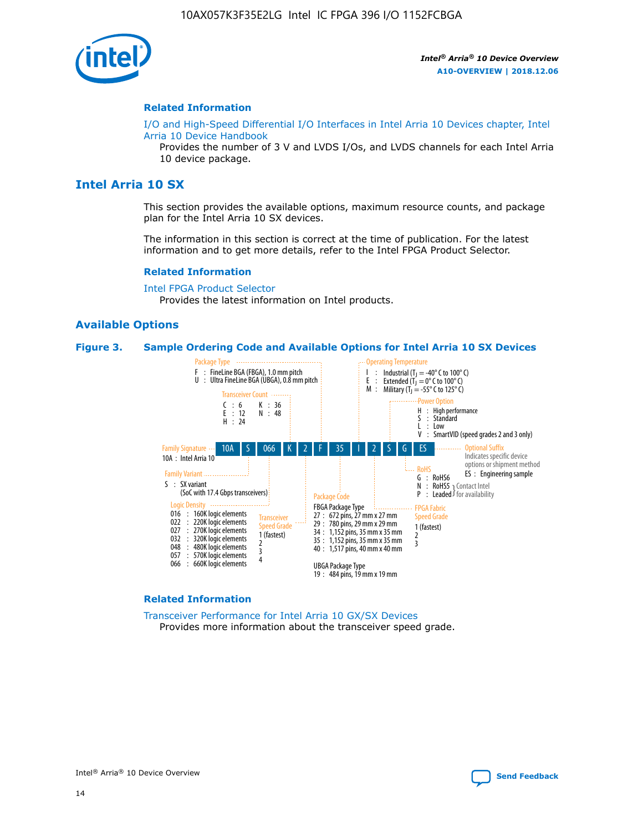

#### **Related Information**

[I/O and High-Speed Differential I/O Interfaces in Intel Arria 10 Devices chapter, Intel](https://www.intel.com/content/www/us/en/programmable/documentation/sam1403482614086.html#sam1403482030321) [Arria 10 Device Handbook](https://www.intel.com/content/www/us/en/programmable/documentation/sam1403482614086.html#sam1403482030321)

Provides the number of 3 V and LVDS I/Os, and LVDS channels for each Intel Arria 10 device package.

## **Intel Arria 10 SX**

This section provides the available options, maximum resource counts, and package plan for the Intel Arria 10 SX devices.

The information in this section is correct at the time of publication. For the latest information and to get more details, refer to the Intel FPGA Product Selector.

#### **Related Information**

[Intel FPGA Product Selector](http://www.altera.com/products/selector/psg-selector.html) Provides the latest information on Intel products.

## **Available Options**

#### **Figure 3. Sample Ordering Code and Available Options for Intel Arria 10 SX Devices**



#### **Related Information**

[Transceiver Performance for Intel Arria 10 GX/SX Devices](https://www.intel.com/content/www/us/en/programmable/documentation/mcn1413182292568.html#mcn1413213965502) Provides more information about the transceiver speed grade.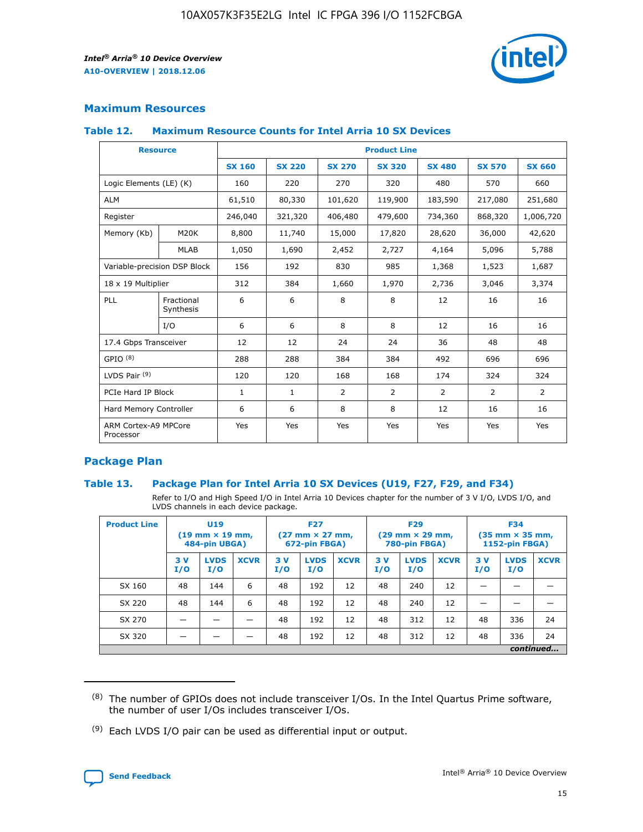

## **Maximum Resources**

#### **Table 12. Maximum Resource Counts for Intel Arria 10 SX Devices**

| <b>Resource</b>                   |                         | <b>Product Line</b> |               |                |                |                |                |                |  |  |  |
|-----------------------------------|-------------------------|---------------------|---------------|----------------|----------------|----------------|----------------|----------------|--|--|--|
|                                   |                         | <b>SX 160</b>       | <b>SX 220</b> | <b>SX 270</b>  | <b>SX 320</b>  | <b>SX 480</b>  | <b>SX 570</b>  | <b>SX 660</b>  |  |  |  |
| Logic Elements (LE) (K)           |                         | 160                 | 220           | 270            | 320            | 480            | 570            | 660            |  |  |  |
| <b>ALM</b>                        |                         | 61,510              | 80,330        | 101,620        | 119,900        | 183,590        | 217,080        | 251,680        |  |  |  |
| Register                          |                         | 246,040             | 321,320       | 406,480        | 479,600        | 734,360        | 868,320        | 1,006,720      |  |  |  |
| Memory (Kb)                       | M <sub>20</sub> K       | 8,800               | 11,740        | 15,000         | 17,820         | 28,620         | 36,000         | 42,620         |  |  |  |
|                                   | <b>MLAB</b>             | 1,050               | 1,690         | 2,452          | 2,727          | 4,164          | 5,096          | 5,788          |  |  |  |
| Variable-precision DSP Block      |                         | 156                 | 192           | 830            | 985            | 1,368          | 1,523          | 1,687          |  |  |  |
| 18 x 19 Multiplier                |                         | 312                 | 384           | 1,660          | 1,970          | 2,736          | 3,046          | 3,374          |  |  |  |
| PLL                               | Fractional<br>Synthesis | 6                   | 6             | 8              | 8              | 12             | 16             | 16             |  |  |  |
|                                   | I/O                     | 6                   | 6             | 8              | 8              | 12             | 16             | 16             |  |  |  |
| 17.4 Gbps Transceiver             |                         | 12                  | 12            | 24             | 24             | 36             | 48             | 48             |  |  |  |
| GPIO <sup>(8)</sup>               |                         | 288                 | 288           | 384            | 384            | 492            | 696            | 696            |  |  |  |
| LVDS Pair $(9)$                   |                         | 120                 | 120           | 168            | 168            | 174            | 324            | 324            |  |  |  |
| PCIe Hard IP Block                |                         | $\mathbf{1}$        | $\mathbf{1}$  | $\overline{2}$ | $\overline{2}$ | $\overline{2}$ | $\overline{2}$ | $\overline{2}$ |  |  |  |
| Hard Memory Controller            |                         | 6                   | 6             | 8              | 8              | 12             | 16             | 16             |  |  |  |
| ARM Cortex-A9 MPCore<br>Processor |                         | Yes                 | Yes           | Yes            | Yes            | Yes            | Yes            | <b>Yes</b>     |  |  |  |

## **Package Plan**

## **Table 13. Package Plan for Intel Arria 10 SX Devices (U19, F27, F29, and F34)**

Refer to I/O and High Speed I/O in Intel Arria 10 Devices chapter for the number of 3 V I/O, LVDS I/O, and LVDS channels in each device package.

| <b>Product Line</b> | U19<br>$(19 \text{ mm} \times 19 \text{ mm})$<br>484-pin UBGA) |                    |             | <b>F27</b><br>$(27 \text{ mm} \times 27 \text{ mm})$ .<br>672-pin FBGA) |                    | <b>F29</b><br>$(29 \text{ mm} \times 29 \text{ mm})$ .<br>780-pin FBGA) |            |                    | <b>F34</b><br>$(35 \text{ mm} \times 35 \text{ mm})$<br><b>1152-pin FBGA)</b> |           |                    |             |
|---------------------|----------------------------------------------------------------|--------------------|-------------|-------------------------------------------------------------------------|--------------------|-------------------------------------------------------------------------|------------|--------------------|-------------------------------------------------------------------------------|-----------|--------------------|-------------|
|                     | 3V<br>I/O                                                      | <b>LVDS</b><br>I/O | <b>XCVR</b> | 3V<br>I/O                                                               | <b>LVDS</b><br>I/O | <b>XCVR</b>                                                             | 3 V<br>I/O | <b>LVDS</b><br>I/O | <b>XCVR</b>                                                                   | 3V<br>I/O | <b>LVDS</b><br>I/O | <b>XCVR</b> |
| SX 160              | 48                                                             | 144                | 6           | 48                                                                      | 192                | 12                                                                      | 48         | 240                | 12                                                                            |           |                    |             |
| SX 220              | 48                                                             | 144                | 6           | 48                                                                      | 192                | 12                                                                      | 48         | 240                | 12                                                                            |           |                    |             |
| SX 270              |                                                                |                    |             | 48                                                                      | 192                | 12                                                                      | 48         | 312                | 12                                                                            | 48        | 336                | 24          |
| SX 320              |                                                                |                    |             | 48                                                                      | 192                | 12                                                                      | 48         | 312                | 12                                                                            | 48        | 336                | 24          |
|                     |                                                                |                    |             |                                                                         |                    |                                                                         |            |                    |                                                                               |           |                    | continued   |

 $(8)$  The number of GPIOs does not include transceiver I/Os. In the Intel Quartus Prime software, the number of user I/Os includes transceiver I/Os.

 $(9)$  Each LVDS I/O pair can be used as differential input or output.

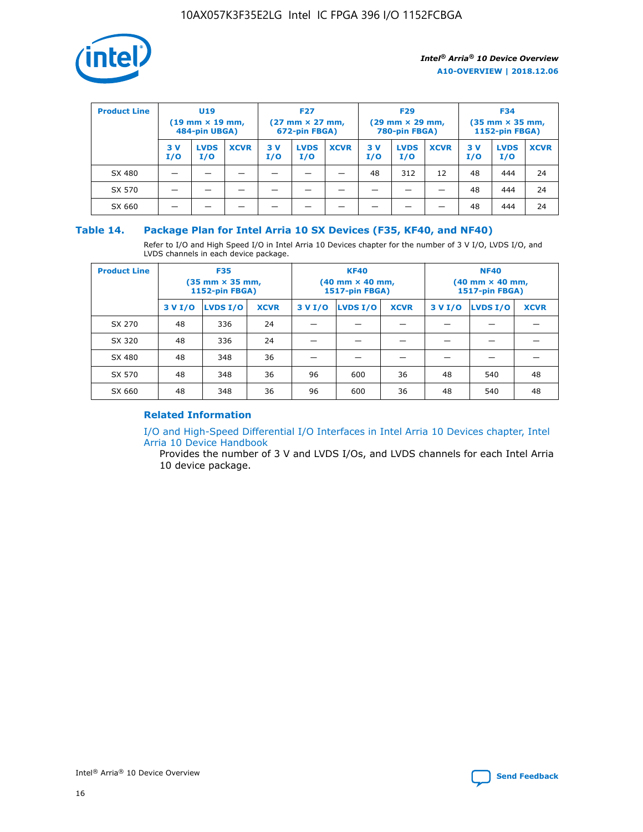

| <b>Product Line</b> | U <sub>19</sub><br>$(19 \text{ mm} \times 19 \text{ mm})$<br>484-pin UBGA) |                    | <b>F27</b><br>$(27 \text{ mm} \times 27 \text{ mm})$<br>672-pin FBGA) |            | <b>F29</b><br>$(29$ mm $\times$ 29 mm,<br>780-pin FBGA) |             |           | <b>F34</b><br>$(35$ mm $\times$ 35 mm,<br><b>1152-pin FBGA)</b> |             |            |                    |             |
|---------------------|----------------------------------------------------------------------------|--------------------|-----------------------------------------------------------------------|------------|---------------------------------------------------------|-------------|-----------|-----------------------------------------------------------------|-------------|------------|--------------------|-------------|
|                     | 3 V<br>I/O                                                                 | <b>LVDS</b><br>I/O | <b>XCVR</b>                                                           | 3 V<br>I/O | <b>LVDS</b><br>I/O                                      | <b>XCVR</b> | 3V<br>I/O | <b>LVDS</b><br>I/O                                              | <b>XCVR</b> | 3 V<br>I/O | <b>LVDS</b><br>I/O | <b>XCVR</b> |
| SX 480              |                                                                            |                    |                                                                       |            |                                                         |             | 48        | 312                                                             | 12          | 48         | 444                | 24          |
| SX 570              |                                                                            |                    |                                                                       |            |                                                         |             |           |                                                                 |             | 48         | 444                | 24          |
| SX 660              |                                                                            |                    |                                                                       |            |                                                         |             |           |                                                                 |             | 48         | 444                | 24          |

## **Table 14. Package Plan for Intel Arria 10 SX Devices (F35, KF40, and NF40)**

Refer to I/O and High Speed I/O in Intel Arria 10 Devices chapter for the number of 3 V I/O, LVDS I/O, and LVDS channels in each device package.

| <b>Product Line</b> | <b>F35</b><br>(35 mm × 35 mm,<br>1152-pin FBGA) |          |             |                                           | <b>KF40</b><br>(40 mm × 40 mm,<br>1517-pin FBGA) |    | <b>NF40</b><br>(40 mm × 40 mm,<br>1517-pin FBGA) |          |             |  |
|---------------------|-------------------------------------------------|----------|-------------|-------------------------------------------|--------------------------------------------------|----|--------------------------------------------------|----------|-------------|--|
|                     | 3 V I/O                                         | LVDS I/O | <b>XCVR</b> | <b>LVDS I/O</b><br>3 V I/O<br><b>XCVR</b> |                                                  |    | 3 V I/O                                          | LVDS I/O | <b>XCVR</b> |  |
| SX 270              | 48                                              | 336      | 24          |                                           |                                                  |    |                                                  |          |             |  |
| SX 320              | 48                                              | 336      | 24          |                                           |                                                  |    |                                                  |          |             |  |
| SX 480              | 48                                              | 348      | 36          |                                           |                                                  |    |                                                  |          |             |  |
| SX 570              | 48                                              | 348      | 36          | 96                                        | 600                                              | 36 | 48                                               | 540      | 48          |  |
| SX 660              | 48                                              | 348      | 36          | 96                                        | 600                                              | 36 | 48                                               | 540      | 48          |  |

## **Related Information**

[I/O and High-Speed Differential I/O Interfaces in Intel Arria 10 Devices chapter, Intel](https://www.intel.com/content/www/us/en/programmable/documentation/sam1403482614086.html#sam1403482030321) [Arria 10 Device Handbook](https://www.intel.com/content/www/us/en/programmable/documentation/sam1403482614086.html#sam1403482030321)

Provides the number of 3 V and LVDS I/Os, and LVDS channels for each Intel Arria 10 device package.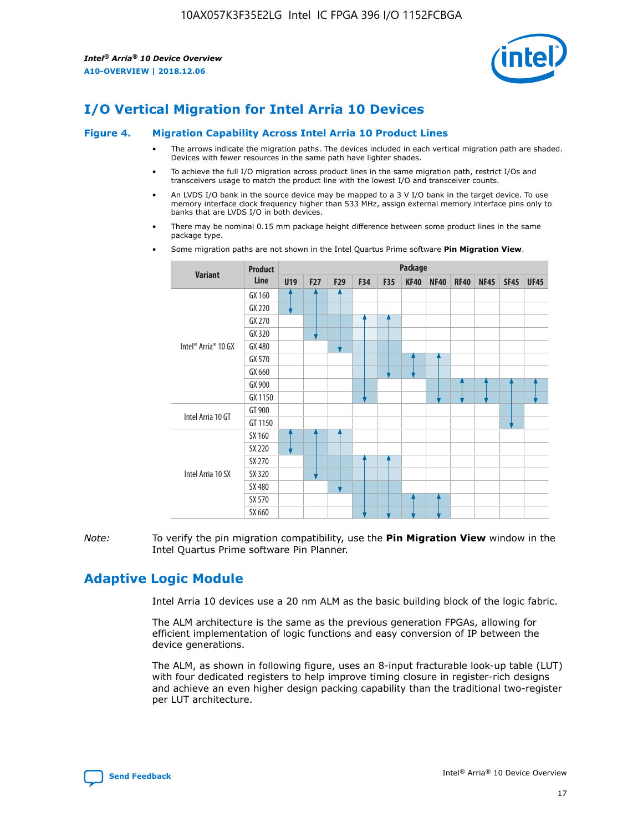

## **I/O Vertical Migration for Intel Arria 10 Devices**

#### **Figure 4. Migration Capability Across Intel Arria 10 Product Lines**

- The arrows indicate the migration paths. The devices included in each vertical migration path are shaded. Devices with fewer resources in the same path have lighter shades.
- To achieve the full I/O migration across product lines in the same migration path, restrict I/Os and transceivers usage to match the product line with the lowest I/O and transceiver counts.
- An LVDS I/O bank in the source device may be mapped to a 3 V I/O bank in the target device. To use memory interface clock frequency higher than 533 MHz, assign external memory interface pins only to banks that are LVDS I/O in both devices.
- There may be nominal 0.15 mm package height difference between some product lines in the same package type.
	- **Variant Product Line Package U19 F27 F29 F34 F35 KF40 NF40 RF40 NF45 SF45 UF45** Intel® Arria® 10 GX GX 160 GX 220 GX 270 GX 320 GX 480 GX 570 GX 660 GX 900 GX 1150 Intel Arria 10 GT GT 900 GT 1150 Intel Arria 10 SX SX 160 SX 220 SX 270 SX 320 SX 480 SX 570 SX 660
- Some migration paths are not shown in the Intel Quartus Prime software **Pin Migration View**.

*Note:* To verify the pin migration compatibility, use the **Pin Migration View** window in the Intel Quartus Prime software Pin Planner.

## **Adaptive Logic Module**

Intel Arria 10 devices use a 20 nm ALM as the basic building block of the logic fabric.

The ALM architecture is the same as the previous generation FPGAs, allowing for efficient implementation of logic functions and easy conversion of IP between the device generations.

The ALM, as shown in following figure, uses an 8-input fracturable look-up table (LUT) with four dedicated registers to help improve timing closure in register-rich designs and achieve an even higher design packing capability than the traditional two-register per LUT architecture.

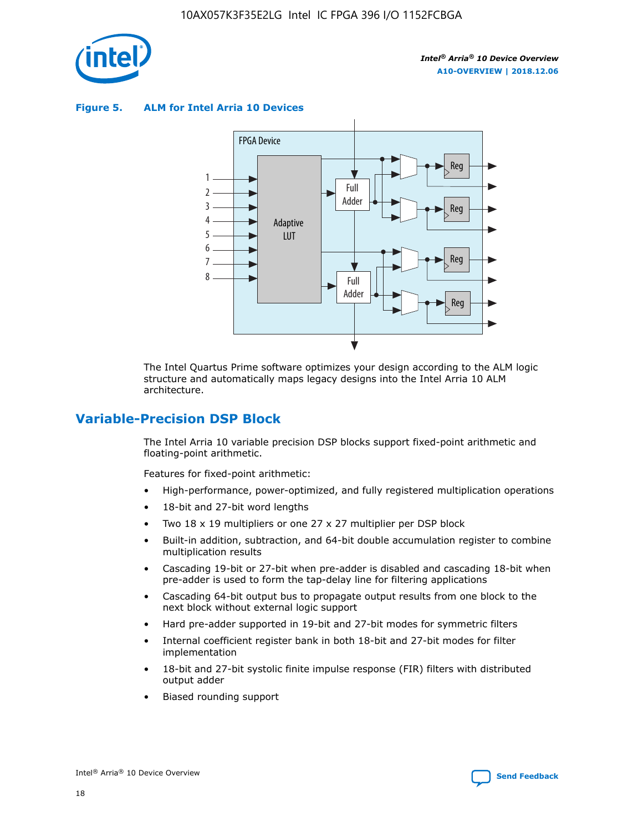

**Figure 5. ALM for Intel Arria 10 Devices**



The Intel Quartus Prime software optimizes your design according to the ALM logic structure and automatically maps legacy designs into the Intel Arria 10 ALM architecture.

## **Variable-Precision DSP Block**

The Intel Arria 10 variable precision DSP blocks support fixed-point arithmetic and floating-point arithmetic.

Features for fixed-point arithmetic:

- High-performance, power-optimized, and fully registered multiplication operations
- 18-bit and 27-bit word lengths
- Two 18 x 19 multipliers or one 27 x 27 multiplier per DSP block
- Built-in addition, subtraction, and 64-bit double accumulation register to combine multiplication results
- Cascading 19-bit or 27-bit when pre-adder is disabled and cascading 18-bit when pre-adder is used to form the tap-delay line for filtering applications
- Cascading 64-bit output bus to propagate output results from one block to the next block without external logic support
- Hard pre-adder supported in 19-bit and 27-bit modes for symmetric filters
- Internal coefficient register bank in both 18-bit and 27-bit modes for filter implementation
- 18-bit and 27-bit systolic finite impulse response (FIR) filters with distributed output adder
- Biased rounding support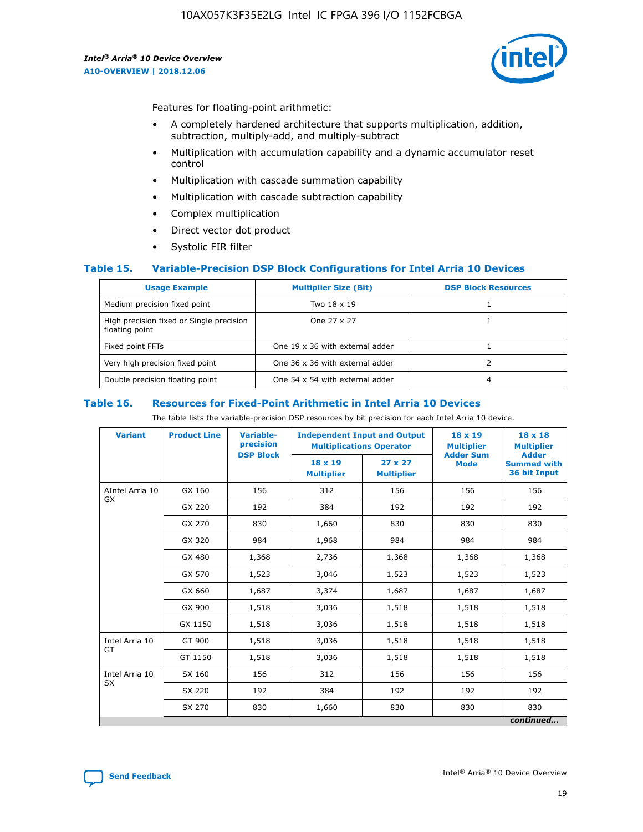

Features for floating-point arithmetic:

- A completely hardened architecture that supports multiplication, addition, subtraction, multiply-add, and multiply-subtract
- Multiplication with accumulation capability and a dynamic accumulator reset control
- Multiplication with cascade summation capability
- Multiplication with cascade subtraction capability
- Complex multiplication
- Direct vector dot product
- Systolic FIR filter

## **Table 15. Variable-Precision DSP Block Configurations for Intel Arria 10 Devices**

| <b>Usage Example</b>                                       | <b>Multiplier Size (Bit)</b>    | <b>DSP Block Resources</b> |
|------------------------------------------------------------|---------------------------------|----------------------------|
| Medium precision fixed point                               | Two 18 x 19                     |                            |
| High precision fixed or Single precision<br>floating point | One 27 x 27                     |                            |
| Fixed point FFTs                                           | One 19 x 36 with external adder |                            |
| Very high precision fixed point                            | One 36 x 36 with external adder |                            |
| Double precision floating point                            | One 54 x 54 with external adder | 4                          |

#### **Table 16. Resources for Fixed-Point Arithmetic in Intel Arria 10 Devices**

The table lists the variable-precision DSP resources by bit precision for each Intel Arria 10 device.

| <b>Variant</b>  | <b>Product Line</b> | Variable-<br>precision<br><b>DSP Block</b> | <b>Independent Input and Output</b><br><b>Multiplications Operator</b> |                                     | 18 x 19<br><b>Multiplier</b><br><b>Adder Sum</b> | $18 \times 18$<br><b>Multiplier</b><br><b>Adder</b> |
|-----------------|---------------------|--------------------------------------------|------------------------------------------------------------------------|-------------------------------------|--------------------------------------------------|-----------------------------------------------------|
|                 |                     |                                            | 18 x 19<br><b>Multiplier</b>                                           | $27 \times 27$<br><b>Multiplier</b> | <b>Mode</b>                                      | <b>Summed with</b><br>36 bit Input                  |
| AIntel Arria 10 | GX 160              | 156                                        | 312                                                                    | 156                                 | 156                                              | 156                                                 |
| GX              | GX 220              | 192                                        | 384                                                                    | 192                                 | 192                                              | 192                                                 |
|                 | GX 270              | 830                                        | 1,660                                                                  | 830                                 | 830                                              | 830                                                 |
|                 | GX 320              | 984                                        | 1,968                                                                  | 984                                 | 984                                              | 984                                                 |
|                 | GX 480              | 1,368                                      | 2,736                                                                  | 1,368                               | 1,368                                            | 1,368                                               |
|                 | GX 570              | 1,523                                      | 3,046                                                                  | 1,523                               | 1,523                                            | 1,523                                               |
|                 | GX 660              | 1,687                                      | 3,374                                                                  | 1,687                               | 1,687                                            | 1,687                                               |
|                 | GX 900              | 1,518                                      | 3,036                                                                  | 1,518                               | 1,518                                            | 1,518                                               |
|                 | GX 1150             | 1,518                                      | 3,036                                                                  | 1,518                               | 1,518                                            | 1,518                                               |
| Intel Arria 10  | GT 900              | 1,518                                      | 3,036                                                                  | 1,518                               | 1,518                                            | 1,518                                               |
| GT              | GT 1150             | 1,518                                      | 3,036                                                                  | 1,518                               | 1,518                                            | 1,518                                               |
| Intel Arria 10  | SX 160              | 156                                        | 312                                                                    | 156                                 | 156                                              | 156                                                 |
| <b>SX</b>       | SX 220              | 192                                        | 384                                                                    | 192                                 | 192                                              | 192                                                 |
|                 | SX 270              | 830                                        | 1,660                                                                  | 830                                 | 830                                              | 830                                                 |
|                 |                     |                                            |                                                                        |                                     |                                                  | continued                                           |

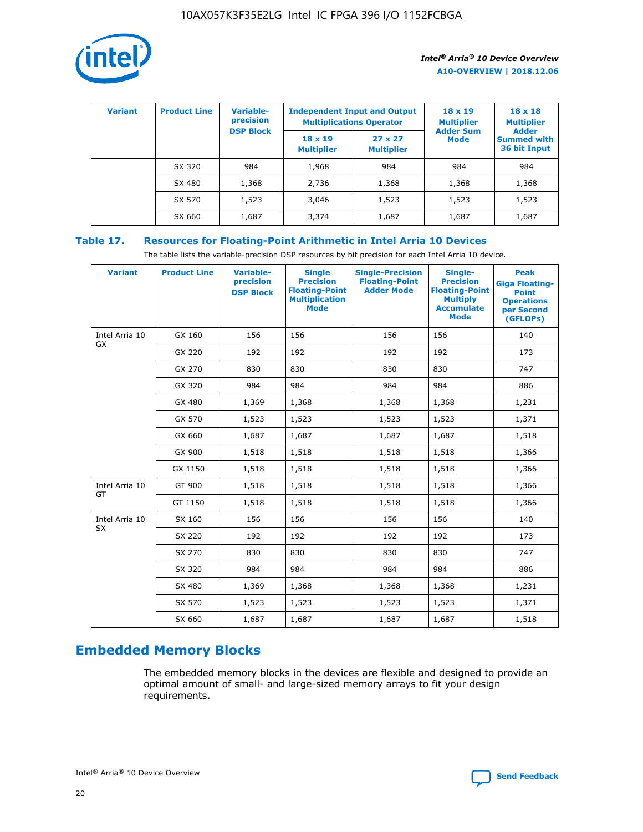

| <b>Variant</b> | <b>Product Line</b> | <b>Variable-</b><br>precision<br><b>DSP Block</b> | <b>Independent Input and Output</b><br><b>Multiplications Operator</b> |                                     | $18 \times 19$<br><b>Multiplier</b><br><b>Adder Sum</b> | $18 \times 18$<br><b>Multiplier</b><br><b>Adder</b> |  |
|----------------|---------------------|---------------------------------------------------|------------------------------------------------------------------------|-------------------------------------|---------------------------------------------------------|-----------------------------------------------------|--|
|                |                     |                                                   | $18 \times 19$<br><b>Multiplier</b>                                    | $27 \times 27$<br><b>Multiplier</b> | <b>Mode</b>                                             | <b>Summed with</b><br>36 bit Input                  |  |
|                | SX 320              | 984                                               | 1,968                                                                  | 984                                 | 984                                                     | 984                                                 |  |
|                | SX 480              | 1,368                                             | 2,736                                                                  | 1,368                               | 1,368                                                   | 1,368                                               |  |
|                | SX 570              | 1,523                                             | 3,046                                                                  | 1,523                               | 1,523                                                   | 1,523                                               |  |
|                | SX 660              | 1,687                                             | 3,374                                                                  | 1,687                               | 1,687                                                   | 1,687                                               |  |

## **Table 17. Resources for Floating-Point Arithmetic in Intel Arria 10 Devices**

The table lists the variable-precision DSP resources by bit precision for each Intel Arria 10 device.

| <b>Variant</b> | <b>Product Line</b> | <b>Variable-</b><br>precision<br><b>DSP Block</b> | <b>Single</b><br><b>Precision</b><br><b>Floating-Point</b><br><b>Multiplication</b><br><b>Mode</b> | <b>Single-Precision</b><br><b>Floating-Point</b><br><b>Adder Mode</b> | Single-<br><b>Precision</b><br><b>Floating-Point</b><br><b>Multiply</b><br><b>Accumulate</b><br><b>Mode</b> | <b>Peak</b><br><b>Giga Floating-</b><br><b>Point</b><br><b>Operations</b><br>per Second<br>(GFLOPs) |
|----------------|---------------------|---------------------------------------------------|----------------------------------------------------------------------------------------------------|-----------------------------------------------------------------------|-------------------------------------------------------------------------------------------------------------|-----------------------------------------------------------------------------------------------------|
| Intel Arria 10 | GX 160              | 156                                               | 156                                                                                                | 156                                                                   | 156                                                                                                         | 140                                                                                                 |
| <b>GX</b>      | GX 220              | 192                                               | 192                                                                                                | 192                                                                   | 192                                                                                                         | 173                                                                                                 |
|                | GX 270              | 830                                               | 830                                                                                                | 830                                                                   | 830                                                                                                         | 747                                                                                                 |
|                | GX 320              | 984                                               | 984                                                                                                | 984                                                                   | 984                                                                                                         | 886                                                                                                 |
|                | GX 480              | 1,369                                             | 1,368                                                                                              | 1,368                                                                 | 1,368                                                                                                       | 1,231                                                                                               |
|                | GX 570              | 1,523                                             | 1,523                                                                                              | 1,523                                                                 | 1,523                                                                                                       | 1,371                                                                                               |
|                | GX 660              | 1,687                                             | 1,687                                                                                              | 1,687                                                                 | 1,687                                                                                                       | 1,518                                                                                               |
|                | GX 900              | 1,518                                             | 1,518                                                                                              | 1,518                                                                 | 1,518                                                                                                       | 1,366                                                                                               |
|                | GX 1150             | 1,518                                             | 1,518                                                                                              | 1,518                                                                 | 1,518                                                                                                       | 1,366                                                                                               |
| Intel Arria 10 | GT 900              | 1,518                                             | 1,518                                                                                              | 1,518                                                                 | 1,518                                                                                                       | 1,366                                                                                               |
| GT             | GT 1150             | 1,518                                             | 1,518                                                                                              | 1,518                                                                 | 1,518                                                                                                       | 1,366                                                                                               |
| Intel Arria 10 | SX 160              | 156                                               | 156                                                                                                | 156                                                                   | 156                                                                                                         | 140                                                                                                 |
| SX             | SX 220              | 192                                               | 192                                                                                                | 192                                                                   | 192                                                                                                         | 173                                                                                                 |
|                | SX 270              | 830                                               | 830                                                                                                | 830                                                                   | 830                                                                                                         | 747                                                                                                 |
|                | SX 320              | 984                                               | 984                                                                                                | 984                                                                   | 984                                                                                                         | 886                                                                                                 |
|                | SX 480              | 1,369                                             | 1,368                                                                                              | 1,368                                                                 | 1,368                                                                                                       | 1,231                                                                                               |
|                | SX 570              | 1,523                                             | 1,523                                                                                              | 1,523                                                                 | 1,523                                                                                                       | 1,371                                                                                               |
|                | SX 660              | 1,687                                             | 1,687                                                                                              | 1,687                                                                 | 1,687                                                                                                       | 1,518                                                                                               |

## **Embedded Memory Blocks**

The embedded memory blocks in the devices are flexible and designed to provide an optimal amount of small- and large-sized memory arrays to fit your design requirements.

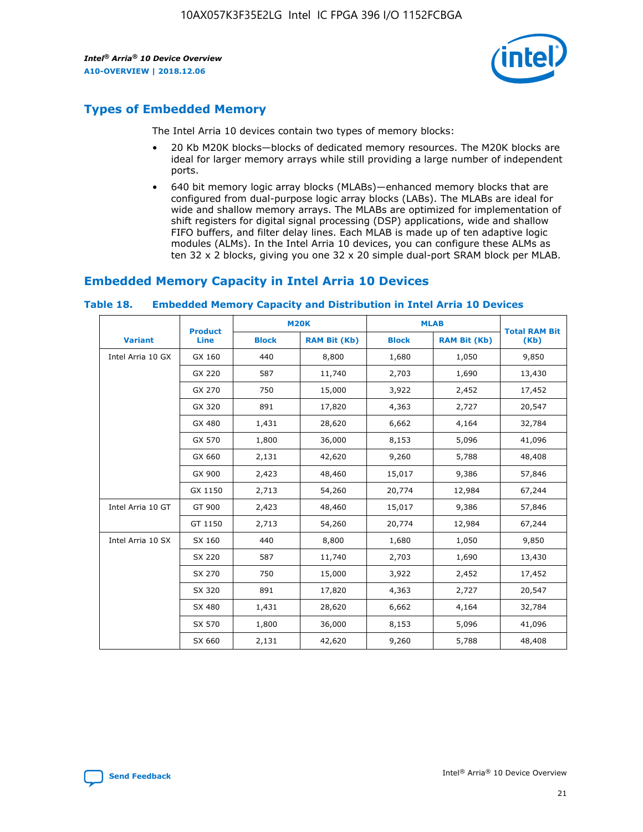

## **Types of Embedded Memory**

The Intel Arria 10 devices contain two types of memory blocks:

- 20 Kb M20K blocks—blocks of dedicated memory resources. The M20K blocks are ideal for larger memory arrays while still providing a large number of independent ports.
- 640 bit memory logic array blocks (MLABs)—enhanced memory blocks that are configured from dual-purpose logic array blocks (LABs). The MLABs are ideal for wide and shallow memory arrays. The MLABs are optimized for implementation of shift registers for digital signal processing (DSP) applications, wide and shallow FIFO buffers, and filter delay lines. Each MLAB is made up of ten adaptive logic modules (ALMs). In the Intel Arria 10 devices, you can configure these ALMs as ten 32 x 2 blocks, giving you one 32 x 20 simple dual-port SRAM block per MLAB.

## **Embedded Memory Capacity in Intel Arria 10 Devices**

|                   | <b>Product</b> |              | <b>M20K</b>         |              | <b>MLAB</b>         | <b>Total RAM Bit</b> |
|-------------------|----------------|--------------|---------------------|--------------|---------------------|----------------------|
| <b>Variant</b>    | Line           | <b>Block</b> | <b>RAM Bit (Kb)</b> | <b>Block</b> | <b>RAM Bit (Kb)</b> | (Kb)                 |
| Intel Arria 10 GX | GX 160         | 440          | 8,800               | 1,680        | 1,050               | 9,850                |
|                   | GX 220         | 587          | 11,740              | 2,703        | 1,690               | 13,430               |
|                   | GX 270         | 750          | 15,000              | 3,922        | 2,452               | 17,452               |
|                   | GX 320         | 891          | 17,820              | 4,363        | 2,727               | 20,547               |
|                   | GX 480         | 1,431        | 28,620              | 6,662        | 4,164               | 32,784               |
|                   | GX 570         | 1,800        | 36,000              | 8,153        | 5,096               | 41,096               |
|                   | GX 660         | 2,131        | 42,620              | 9,260        | 5,788               | 48,408               |
|                   | GX 900         | 2,423        | 48,460              | 15,017       | 9,386               | 57,846               |
|                   | GX 1150        | 2,713        | 54,260              | 20,774       | 12,984              | 67,244               |
| Intel Arria 10 GT | GT 900         | 2,423        | 48,460              | 15,017       | 9,386               | 57,846               |
|                   | GT 1150        | 2,713        | 54,260              | 20,774       | 12,984              | 67,244               |
| Intel Arria 10 SX | SX 160         | 440          | 8,800               | 1,680        | 1,050               | 9,850                |
|                   | SX 220         | 587          | 11,740              | 2,703        | 1,690               | 13,430               |
|                   | SX 270         | 750          | 15,000              | 3,922        | 2,452               | 17,452               |
|                   | SX 320         | 891          | 17,820              | 4,363        | 2,727               | 20,547               |
|                   | SX 480         | 1,431        | 28,620              | 6,662        | 4,164               | 32,784               |
|                   | SX 570         | 1,800        | 36,000              | 8,153        | 5,096               | 41,096               |
|                   | SX 660         | 2,131        | 42,620              | 9,260        | 5,788               | 48,408               |

#### **Table 18. Embedded Memory Capacity and Distribution in Intel Arria 10 Devices**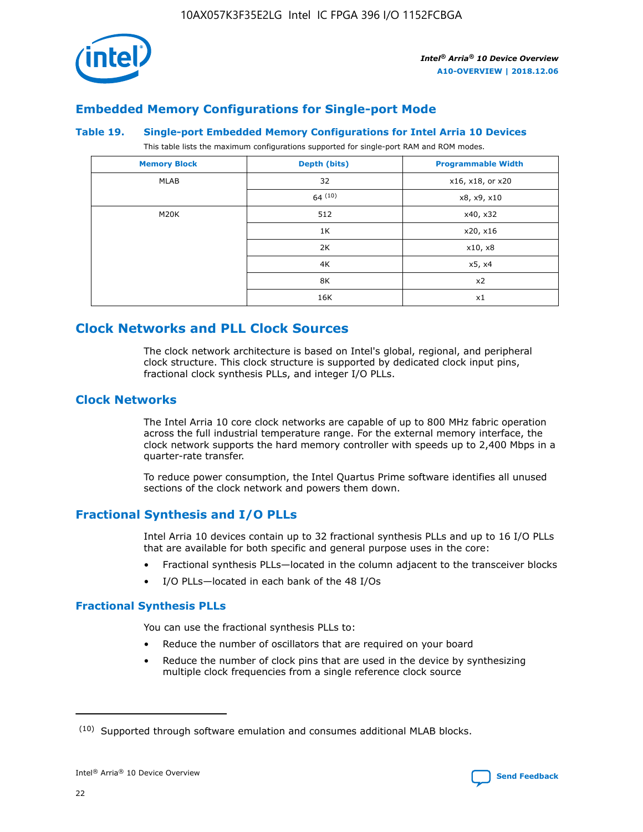

## **Embedded Memory Configurations for Single-port Mode**

#### **Table 19. Single-port Embedded Memory Configurations for Intel Arria 10 Devices**

This table lists the maximum configurations supported for single-port RAM and ROM modes.

| <b>Memory Block</b> | Depth (bits)           | <b>Programmable Width</b> |
|---------------------|------------------------|---------------------------|
| MLAB                | 32<br>x16, x18, or x20 |                           |
|                     | 64(10)                 | x8, x9, x10               |
| M20K                | 512                    | x40, x32                  |
|                     | 1K                     | x20, x16                  |
|                     | 2K                     | x10, x8                   |
|                     | 4K                     | x5, x4                    |
|                     | 8K                     | x2                        |
|                     | 16K                    | x1                        |

## **Clock Networks and PLL Clock Sources**

The clock network architecture is based on Intel's global, regional, and peripheral clock structure. This clock structure is supported by dedicated clock input pins, fractional clock synthesis PLLs, and integer I/O PLLs.

## **Clock Networks**

The Intel Arria 10 core clock networks are capable of up to 800 MHz fabric operation across the full industrial temperature range. For the external memory interface, the clock network supports the hard memory controller with speeds up to 2,400 Mbps in a quarter-rate transfer.

To reduce power consumption, the Intel Quartus Prime software identifies all unused sections of the clock network and powers them down.

## **Fractional Synthesis and I/O PLLs**

Intel Arria 10 devices contain up to 32 fractional synthesis PLLs and up to 16 I/O PLLs that are available for both specific and general purpose uses in the core:

- Fractional synthesis PLLs—located in the column adjacent to the transceiver blocks
- I/O PLLs—located in each bank of the 48 I/Os

## **Fractional Synthesis PLLs**

You can use the fractional synthesis PLLs to:

- Reduce the number of oscillators that are required on your board
- Reduce the number of clock pins that are used in the device by synthesizing multiple clock frequencies from a single reference clock source

<sup>(10)</sup> Supported through software emulation and consumes additional MLAB blocks.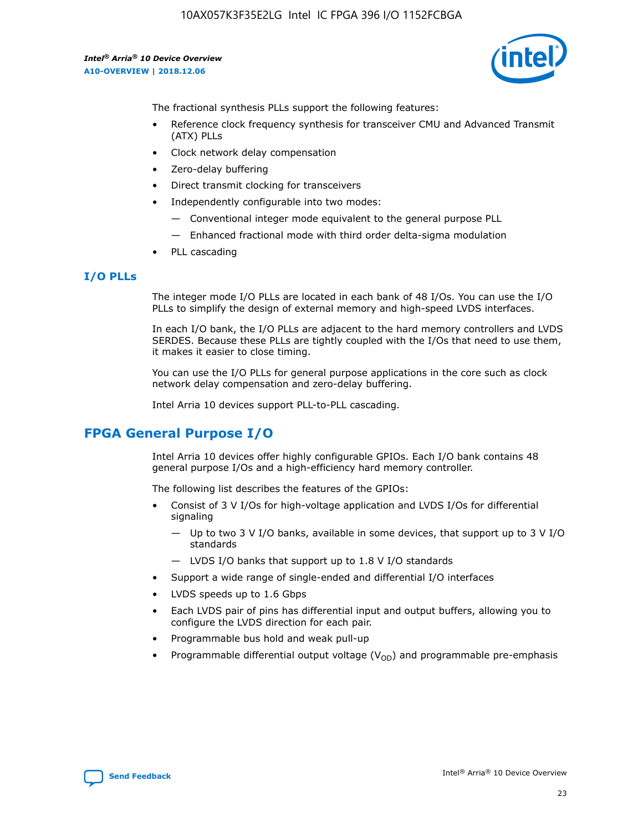

The fractional synthesis PLLs support the following features:

- Reference clock frequency synthesis for transceiver CMU and Advanced Transmit (ATX) PLLs
- Clock network delay compensation
- Zero-delay buffering
- Direct transmit clocking for transceivers
- Independently configurable into two modes:
	- Conventional integer mode equivalent to the general purpose PLL
	- Enhanced fractional mode with third order delta-sigma modulation
- PLL cascading

## **I/O PLLs**

The integer mode I/O PLLs are located in each bank of 48 I/Os. You can use the I/O PLLs to simplify the design of external memory and high-speed LVDS interfaces.

In each I/O bank, the I/O PLLs are adjacent to the hard memory controllers and LVDS SERDES. Because these PLLs are tightly coupled with the I/Os that need to use them, it makes it easier to close timing.

You can use the I/O PLLs for general purpose applications in the core such as clock network delay compensation and zero-delay buffering.

Intel Arria 10 devices support PLL-to-PLL cascading.

## **FPGA General Purpose I/O**

Intel Arria 10 devices offer highly configurable GPIOs. Each I/O bank contains 48 general purpose I/Os and a high-efficiency hard memory controller.

The following list describes the features of the GPIOs:

- Consist of 3 V I/Os for high-voltage application and LVDS I/Os for differential signaling
	- Up to two 3 V I/O banks, available in some devices, that support up to 3 V I/O standards
	- LVDS I/O banks that support up to 1.8 V I/O standards
- Support a wide range of single-ended and differential I/O interfaces
- LVDS speeds up to 1.6 Gbps
- Each LVDS pair of pins has differential input and output buffers, allowing you to configure the LVDS direction for each pair.
- Programmable bus hold and weak pull-up
- Programmable differential output voltage  $(V_{OD})$  and programmable pre-emphasis

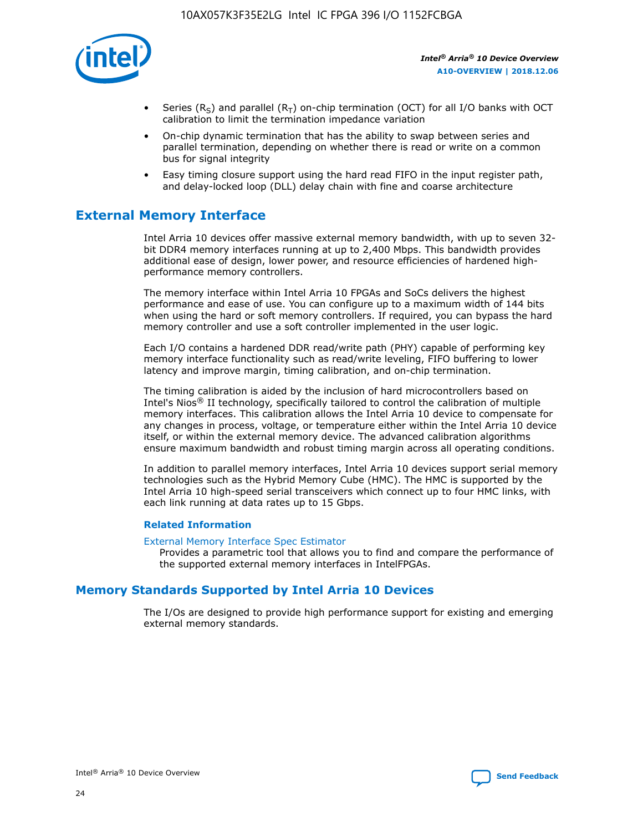

- Series (R<sub>S</sub>) and parallel (R<sub>T</sub>) on-chip termination (OCT) for all I/O banks with OCT calibration to limit the termination impedance variation
- On-chip dynamic termination that has the ability to swap between series and parallel termination, depending on whether there is read or write on a common bus for signal integrity
- Easy timing closure support using the hard read FIFO in the input register path, and delay-locked loop (DLL) delay chain with fine and coarse architecture

## **External Memory Interface**

Intel Arria 10 devices offer massive external memory bandwidth, with up to seven 32 bit DDR4 memory interfaces running at up to 2,400 Mbps. This bandwidth provides additional ease of design, lower power, and resource efficiencies of hardened highperformance memory controllers.

The memory interface within Intel Arria 10 FPGAs and SoCs delivers the highest performance and ease of use. You can configure up to a maximum width of 144 bits when using the hard or soft memory controllers. If required, you can bypass the hard memory controller and use a soft controller implemented in the user logic.

Each I/O contains a hardened DDR read/write path (PHY) capable of performing key memory interface functionality such as read/write leveling, FIFO buffering to lower latency and improve margin, timing calibration, and on-chip termination.

The timing calibration is aided by the inclusion of hard microcontrollers based on Intel's Nios® II technology, specifically tailored to control the calibration of multiple memory interfaces. This calibration allows the Intel Arria 10 device to compensate for any changes in process, voltage, or temperature either within the Intel Arria 10 device itself, or within the external memory device. The advanced calibration algorithms ensure maximum bandwidth and robust timing margin across all operating conditions.

In addition to parallel memory interfaces, Intel Arria 10 devices support serial memory technologies such as the Hybrid Memory Cube (HMC). The HMC is supported by the Intel Arria 10 high-speed serial transceivers which connect up to four HMC links, with each link running at data rates up to 15 Gbps.

## **Related Information**

#### [External Memory Interface Spec Estimator](http://www.altera.com/technology/memory/estimator/mem-emif-index.html)

Provides a parametric tool that allows you to find and compare the performance of the supported external memory interfaces in IntelFPGAs.

## **Memory Standards Supported by Intel Arria 10 Devices**

The I/Os are designed to provide high performance support for existing and emerging external memory standards.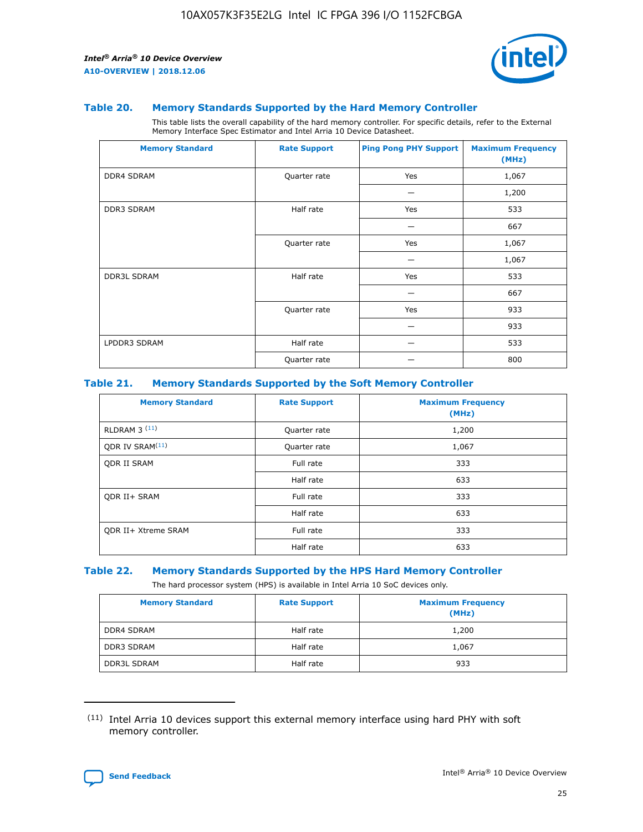

#### **Table 20. Memory Standards Supported by the Hard Memory Controller**

This table lists the overall capability of the hard memory controller. For specific details, refer to the External Memory Interface Spec Estimator and Intel Arria 10 Device Datasheet.

| <b>Memory Standard</b> | <b>Rate Support</b> | <b>Ping Pong PHY Support</b> | <b>Maximum Frequency</b><br>(MHz) |
|------------------------|---------------------|------------------------------|-----------------------------------|
| <b>DDR4 SDRAM</b>      | Quarter rate        | Yes                          | 1,067                             |
|                        |                     |                              | 1,200                             |
| DDR3 SDRAM             | Half rate           | Yes                          | 533                               |
|                        |                     |                              | 667                               |
|                        | Quarter rate        | Yes                          | 1,067                             |
|                        |                     |                              | 1,067                             |
| <b>DDR3L SDRAM</b>     | Half rate           | Yes                          | 533                               |
|                        |                     |                              | 667                               |
|                        | Quarter rate        | Yes                          | 933                               |
|                        |                     |                              | 933                               |
| LPDDR3 SDRAM           | Half rate           |                              | 533                               |
|                        | Quarter rate        |                              | 800                               |

## **Table 21. Memory Standards Supported by the Soft Memory Controller**

| <b>Memory Standard</b>      | <b>Rate Support</b> | <b>Maximum Frequency</b><br>(MHz) |
|-----------------------------|---------------------|-----------------------------------|
| <b>RLDRAM 3 (11)</b>        | Quarter rate        | 1,200                             |
| ODR IV SRAM <sup>(11)</sup> | Quarter rate        | 1,067                             |
| <b>ODR II SRAM</b>          | Full rate           | 333                               |
|                             | Half rate           | 633                               |
| <b>ODR II+ SRAM</b>         | Full rate           | 333                               |
|                             | Half rate           | 633                               |
| <b>ODR II+ Xtreme SRAM</b>  | Full rate           | 333                               |
|                             | Half rate           | 633                               |

#### **Table 22. Memory Standards Supported by the HPS Hard Memory Controller**

The hard processor system (HPS) is available in Intel Arria 10 SoC devices only.

| <b>Memory Standard</b> | <b>Rate Support</b> | <b>Maximum Frequency</b><br>(MHz) |
|------------------------|---------------------|-----------------------------------|
| <b>DDR4 SDRAM</b>      | Half rate           | 1,200                             |
| <b>DDR3 SDRAM</b>      | Half rate           | 1,067                             |
| <b>DDR3L SDRAM</b>     | Half rate           | 933                               |

<sup>(11)</sup> Intel Arria 10 devices support this external memory interface using hard PHY with soft memory controller.

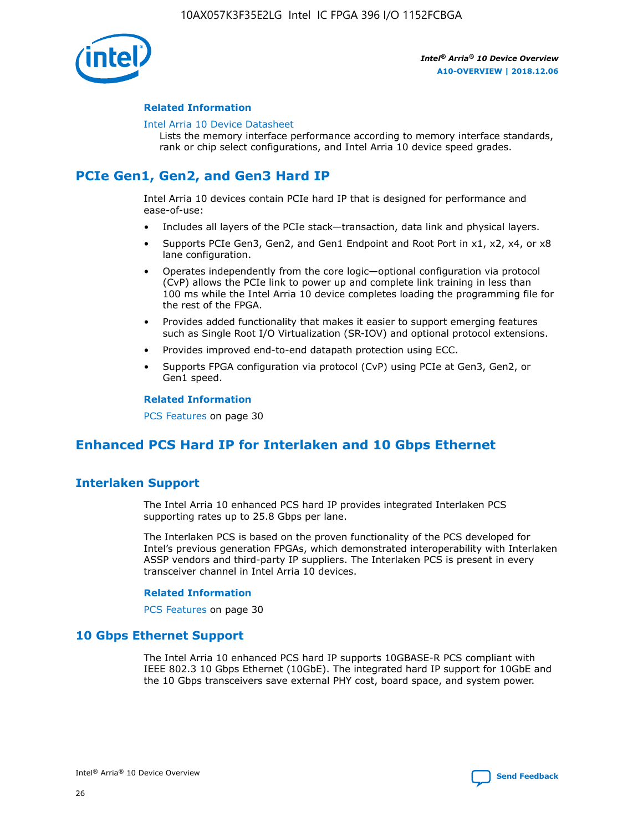

## **Related Information**

#### [Intel Arria 10 Device Datasheet](https://www.intel.com/content/www/us/en/programmable/documentation/mcn1413182292568.html#mcn1413182153340)

Lists the memory interface performance according to memory interface standards, rank or chip select configurations, and Intel Arria 10 device speed grades.

## **PCIe Gen1, Gen2, and Gen3 Hard IP**

Intel Arria 10 devices contain PCIe hard IP that is designed for performance and ease-of-use:

- Includes all layers of the PCIe stack—transaction, data link and physical layers.
- Supports PCIe Gen3, Gen2, and Gen1 Endpoint and Root Port in x1, x2, x4, or x8 lane configuration.
- Operates independently from the core logic—optional configuration via protocol (CvP) allows the PCIe link to power up and complete link training in less than 100 ms while the Intel Arria 10 device completes loading the programming file for the rest of the FPGA.
- Provides added functionality that makes it easier to support emerging features such as Single Root I/O Virtualization (SR-IOV) and optional protocol extensions.
- Provides improved end-to-end datapath protection using ECC.
- Supports FPGA configuration via protocol (CvP) using PCIe at Gen3, Gen2, or Gen1 speed.

#### **Related Information**

PCS Features on page 30

## **Enhanced PCS Hard IP for Interlaken and 10 Gbps Ethernet**

## **Interlaken Support**

The Intel Arria 10 enhanced PCS hard IP provides integrated Interlaken PCS supporting rates up to 25.8 Gbps per lane.

The Interlaken PCS is based on the proven functionality of the PCS developed for Intel's previous generation FPGAs, which demonstrated interoperability with Interlaken ASSP vendors and third-party IP suppliers. The Interlaken PCS is present in every transceiver channel in Intel Arria 10 devices.

## **Related Information**

PCS Features on page 30

## **10 Gbps Ethernet Support**

The Intel Arria 10 enhanced PCS hard IP supports 10GBASE-R PCS compliant with IEEE 802.3 10 Gbps Ethernet (10GbE). The integrated hard IP support for 10GbE and the 10 Gbps transceivers save external PHY cost, board space, and system power.

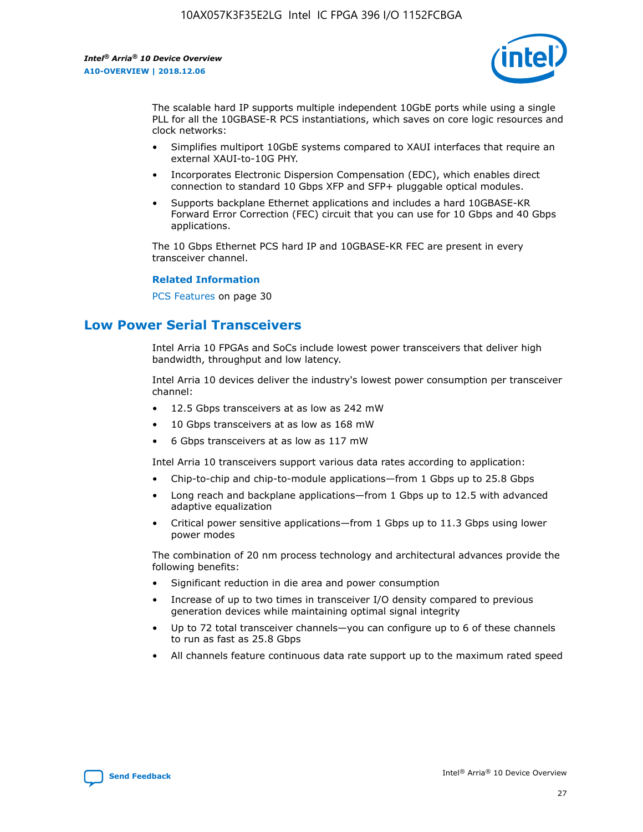

The scalable hard IP supports multiple independent 10GbE ports while using a single PLL for all the 10GBASE-R PCS instantiations, which saves on core logic resources and clock networks:

- Simplifies multiport 10GbE systems compared to XAUI interfaces that require an external XAUI-to-10G PHY.
- Incorporates Electronic Dispersion Compensation (EDC), which enables direct connection to standard 10 Gbps XFP and SFP+ pluggable optical modules.
- Supports backplane Ethernet applications and includes a hard 10GBASE-KR Forward Error Correction (FEC) circuit that you can use for 10 Gbps and 40 Gbps applications.

The 10 Gbps Ethernet PCS hard IP and 10GBASE-KR FEC are present in every transceiver channel.

## **Related Information**

PCS Features on page 30

## **Low Power Serial Transceivers**

Intel Arria 10 FPGAs and SoCs include lowest power transceivers that deliver high bandwidth, throughput and low latency.

Intel Arria 10 devices deliver the industry's lowest power consumption per transceiver channel:

- 12.5 Gbps transceivers at as low as 242 mW
- 10 Gbps transceivers at as low as 168 mW
- 6 Gbps transceivers at as low as 117 mW

Intel Arria 10 transceivers support various data rates according to application:

- Chip-to-chip and chip-to-module applications—from 1 Gbps up to 25.8 Gbps
- Long reach and backplane applications—from 1 Gbps up to 12.5 with advanced adaptive equalization
- Critical power sensitive applications—from 1 Gbps up to 11.3 Gbps using lower power modes

The combination of 20 nm process technology and architectural advances provide the following benefits:

- Significant reduction in die area and power consumption
- Increase of up to two times in transceiver I/O density compared to previous generation devices while maintaining optimal signal integrity
- Up to 72 total transceiver channels—you can configure up to 6 of these channels to run as fast as 25.8 Gbps
- All channels feature continuous data rate support up to the maximum rated speed

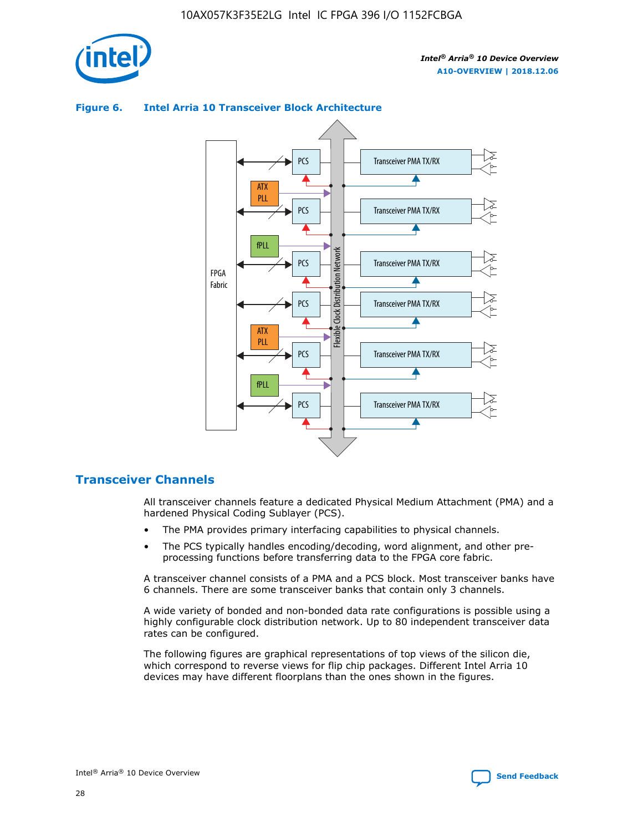



## **Figure 6. Intel Arria 10 Transceiver Block Architecture**

## **Transceiver Channels**

All transceiver channels feature a dedicated Physical Medium Attachment (PMA) and a hardened Physical Coding Sublayer (PCS).

- The PMA provides primary interfacing capabilities to physical channels.
- The PCS typically handles encoding/decoding, word alignment, and other preprocessing functions before transferring data to the FPGA core fabric.

A transceiver channel consists of a PMA and a PCS block. Most transceiver banks have 6 channels. There are some transceiver banks that contain only 3 channels.

A wide variety of bonded and non-bonded data rate configurations is possible using a highly configurable clock distribution network. Up to 80 independent transceiver data rates can be configured.

The following figures are graphical representations of top views of the silicon die, which correspond to reverse views for flip chip packages. Different Intel Arria 10 devices may have different floorplans than the ones shown in the figures.

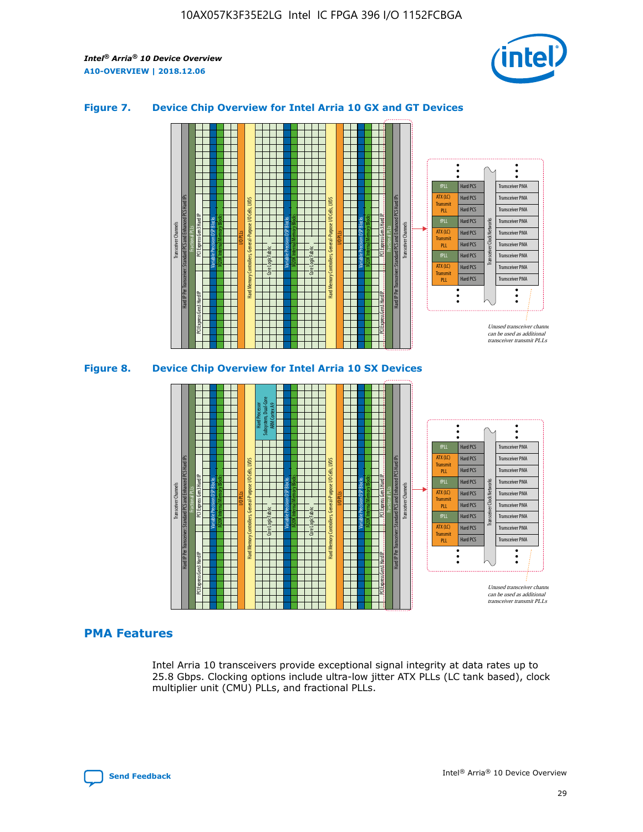

## **Figure 7. Device Chip Overview for Intel Arria 10 GX and GT Devices**





## **PMA Features**

Intel Arria 10 transceivers provide exceptional signal integrity at data rates up to 25.8 Gbps. Clocking options include ultra-low jitter ATX PLLs (LC tank based), clock multiplier unit (CMU) PLLs, and fractional PLLs.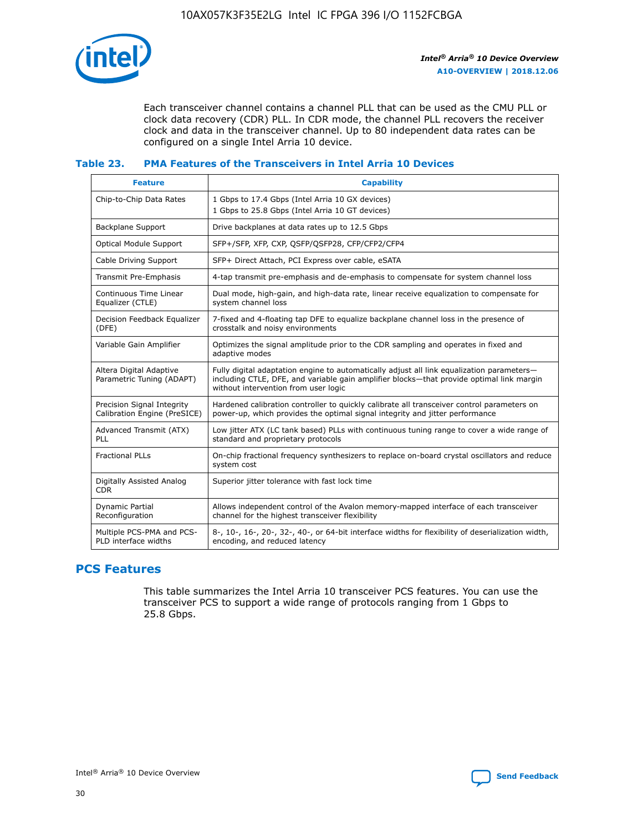

Each transceiver channel contains a channel PLL that can be used as the CMU PLL or clock data recovery (CDR) PLL. In CDR mode, the channel PLL recovers the receiver clock and data in the transceiver channel. Up to 80 independent data rates can be configured on a single Intel Arria 10 device.

## **Table 23. PMA Features of the Transceivers in Intel Arria 10 Devices**

| <b>Feature</b>                                             | <b>Capability</b>                                                                                                                                                                                                             |
|------------------------------------------------------------|-------------------------------------------------------------------------------------------------------------------------------------------------------------------------------------------------------------------------------|
| Chip-to-Chip Data Rates                                    | 1 Gbps to 17.4 Gbps (Intel Arria 10 GX devices)<br>1 Gbps to 25.8 Gbps (Intel Arria 10 GT devices)                                                                                                                            |
| Backplane Support                                          | Drive backplanes at data rates up to 12.5 Gbps                                                                                                                                                                                |
| <b>Optical Module Support</b>                              | SFP+/SFP, XFP, CXP, QSFP/QSFP28, CFP/CFP2/CFP4                                                                                                                                                                                |
| Cable Driving Support                                      | SFP+ Direct Attach, PCI Express over cable, eSATA                                                                                                                                                                             |
| Transmit Pre-Emphasis                                      | 4-tap transmit pre-emphasis and de-emphasis to compensate for system channel loss                                                                                                                                             |
| Continuous Time Linear<br>Equalizer (CTLE)                 | Dual mode, high-gain, and high-data rate, linear receive equalization to compensate for<br>system channel loss                                                                                                                |
| Decision Feedback Equalizer<br>(DFE)                       | 7-fixed and 4-floating tap DFE to equalize backplane channel loss in the presence of<br>crosstalk and noisy environments                                                                                                      |
| Variable Gain Amplifier                                    | Optimizes the signal amplitude prior to the CDR sampling and operates in fixed and<br>adaptive modes                                                                                                                          |
| Altera Digital Adaptive<br>Parametric Tuning (ADAPT)       | Fully digital adaptation engine to automatically adjust all link equalization parameters-<br>including CTLE, DFE, and variable gain amplifier blocks—that provide optimal link margin<br>without intervention from user logic |
| Precision Signal Integrity<br>Calibration Engine (PreSICE) | Hardened calibration controller to quickly calibrate all transceiver control parameters on<br>power-up, which provides the optimal signal integrity and jitter performance                                                    |
| Advanced Transmit (ATX)<br>PLL                             | Low jitter ATX (LC tank based) PLLs with continuous tuning range to cover a wide range of<br>standard and proprietary protocols                                                                                               |
| <b>Fractional PLLs</b>                                     | On-chip fractional frequency synthesizers to replace on-board crystal oscillators and reduce<br>system cost                                                                                                                   |
| Digitally Assisted Analog<br><b>CDR</b>                    | Superior jitter tolerance with fast lock time                                                                                                                                                                                 |
| <b>Dynamic Partial</b><br>Reconfiguration                  | Allows independent control of the Avalon memory-mapped interface of each transceiver<br>channel for the highest transceiver flexibility                                                                                       |
| Multiple PCS-PMA and PCS-<br>PLD interface widths          | 8-, 10-, 16-, 20-, 32-, 40-, or 64-bit interface widths for flexibility of deserialization width,<br>encoding, and reduced latency                                                                                            |

## **PCS Features**

This table summarizes the Intel Arria 10 transceiver PCS features. You can use the transceiver PCS to support a wide range of protocols ranging from 1 Gbps to 25.8 Gbps.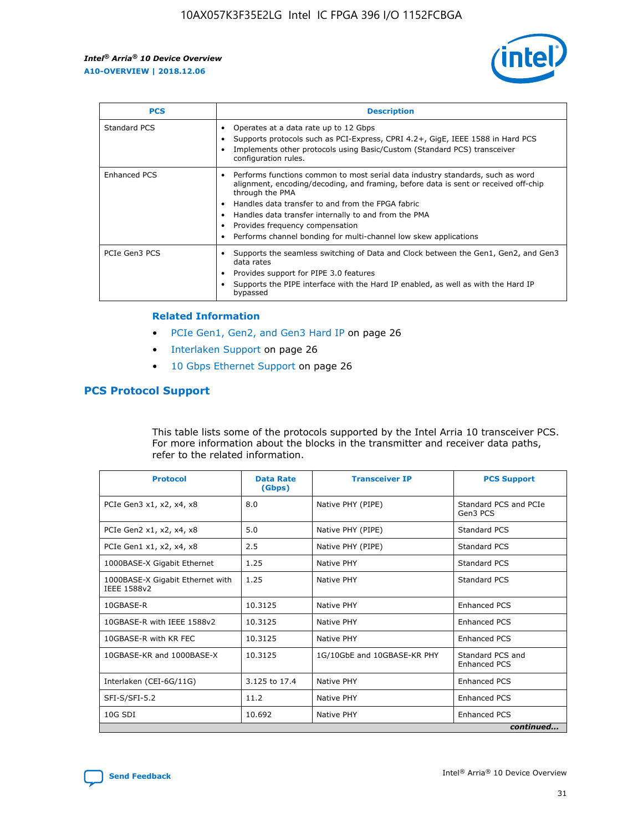

| <b>PCS</b>    | <b>Description</b>                                                                                                                                                                                                                                                                                                                                                                                             |
|---------------|----------------------------------------------------------------------------------------------------------------------------------------------------------------------------------------------------------------------------------------------------------------------------------------------------------------------------------------------------------------------------------------------------------------|
| Standard PCS  | Operates at a data rate up to 12 Gbps<br>Supports protocols such as PCI-Express, CPRI 4.2+, GigE, IEEE 1588 in Hard PCS<br>Implements other protocols using Basic/Custom (Standard PCS) transceiver<br>configuration rules.                                                                                                                                                                                    |
| Enhanced PCS  | Performs functions common to most serial data industry standards, such as word<br>alignment, encoding/decoding, and framing, before data is sent or received off-chip<br>through the PMA<br>• Handles data transfer to and from the FPGA fabric<br>Handles data transfer internally to and from the PMA<br>Provides frequency compensation<br>Performs channel bonding for multi-channel low skew applications |
| PCIe Gen3 PCS | Supports the seamless switching of Data and Clock between the Gen1, Gen2, and Gen3<br>data rates<br>Provides support for PIPE 3.0 features<br>Supports the PIPE interface with the Hard IP enabled, as well as with the Hard IP<br>bypassed                                                                                                                                                                    |

#### **Related Information**

- PCIe Gen1, Gen2, and Gen3 Hard IP on page 26
- Interlaken Support on page 26
- 10 Gbps Ethernet Support on page 26

## **PCS Protocol Support**

This table lists some of the protocols supported by the Intel Arria 10 transceiver PCS. For more information about the blocks in the transmitter and receiver data paths, refer to the related information.

| <b>Protocol</b>                                 | <b>Data Rate</b><br>(Gbps) | <b>Transceiver IP</b>       | <b>PCS Support</b>                      |
|-------------------------------------------------|----------------------------|-----------------------------|-----------------------------------------|
| PCIe Gen3 x1, x2, x4, x8                        | 8.0                        | Native PHY (PIPE)           | Standard PCS and PCIe<br>Gen3 PCS       |
| PCIe Gen2 x1, x2, x4, x8                        | 5.0                        | Native PHY (PIPE)           | <b>Standard PCS</b>                     |
| PCIe Gen1 x1, x2, x4, x8                        | 2.5                        | Native PHY (PIPE)           | Standard PCS                            |
| 1000BASE-X Gigabit Ethernet                     | 1.25                       | Native PHY                  | <b>Standard PCS</b>                     |
| 1000BASE-X Gigabit Ethernet with<br>IEEE 1588v2 | 1.25                       | Native PHY                  | Standard PCS                            |
| 10GBASE-R                                       | 10.3125                    | Native PHY                  | <b>Enhanced PCS</b>                     |
| 10GBASE-R with IEEE 1588v2                      | 10.3125                    | Native PHY                  | <b>Enhanced PCS</b>                     |
| 10GBASE-R with KR FEC                           | 10.3125                    | Native PHY                  | <b>Enhanced PCS</b>                     |
| 10GBASE-KR and 1000BASE-X                       | 10.3125                    | 1G/10GbE and 10GBASE-KR PHY | Standard PCS and<br><b>Enhanced PCS</b> |
| Interlaken (CEI-6G/11G)                         | 3.125 to 17.4              | Native PHY                  | <b>Enhanced PCS</b>                     |
| SFI-S/SFI-5.2                                   | 11.2                       | Native PHY                  | <b>Enhanced PCS</b>                     |
| $10G$ SDI                                       | 10.692                     | Native PHY                  | <b>Enhanced PCS</b>                     |
|                                                 |                            |                             | continued                               |

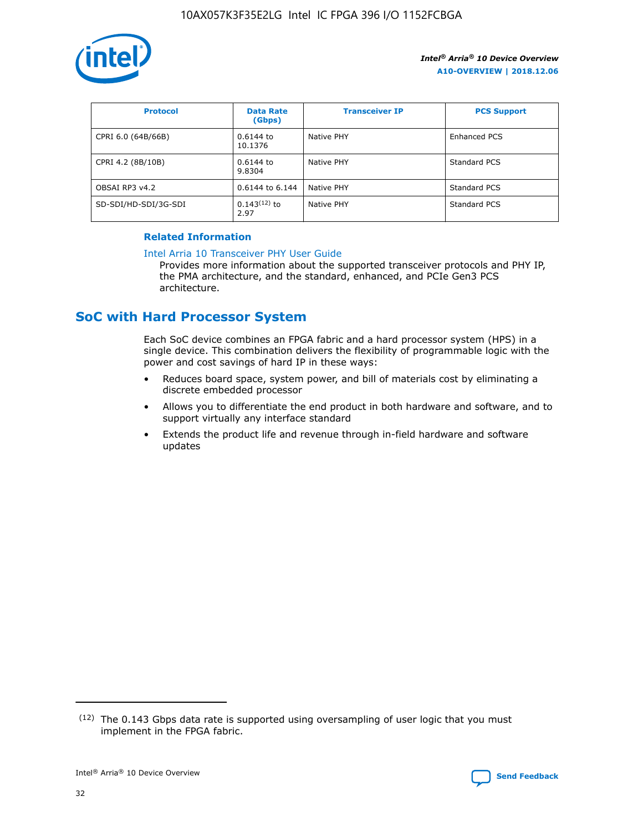

| <b>Protocol</b>      | <b>Data Rate</b><br>(Gbps) | <b>Transceiver IP</b> | <b>PCS Support</b> |
|----------------------|----------------------------|-----------------------|--------------------|
| CPRI 6.0 (64B/66B)   | 0.6144 to<br>10.1376       | Native PHY            | Enhanced PCS       |
| CPRI 4.2 (8B/10B)    | 0.6144 to<br>9.8304        | Native PHY            | Standard PCS       |
| OBSAI RP3 v4.2       | 0.6144 to 6.144            | Native PHY            | Standard PCS       |
| SD-SDI/HD-SDI/3G-SDI | $0.143(12)$ to<br>2.97     | Native PHY            | Standard PCS       |

## **Related Information**

#### [Intel Arria 10 Transceiver PHY User Guide](https://www.intel.com/content/www/us/en/programmable/documentation/nik1398707230472.html#nik1398707091164)

Provides more information about the supported transceiver protocols and PHY IP, the PMA architecture, and the standard, enhanced, and PCIe Gen3 PCS architecture.

## **SoC with Hard Processor System**

Each SoC device combines an FPGA fabric and a hard processor system (HPS) in a single device. This combination delivers the flexibility of programmable logic with the power and cost savings of hard IP in these ways:

- Reduces board space, system power, and bill of materials cost by eliminating a discrete embedded processor
- Allows you to differentiate the end product in both hardware and software, and to support virtually any interface standard
- Extends the product life and revenue through in-field hardware and software updates

 $(12)$  The 0.143 Gbps data rate is supported using oversampling of user logic that you must implement in the FPGA fabric.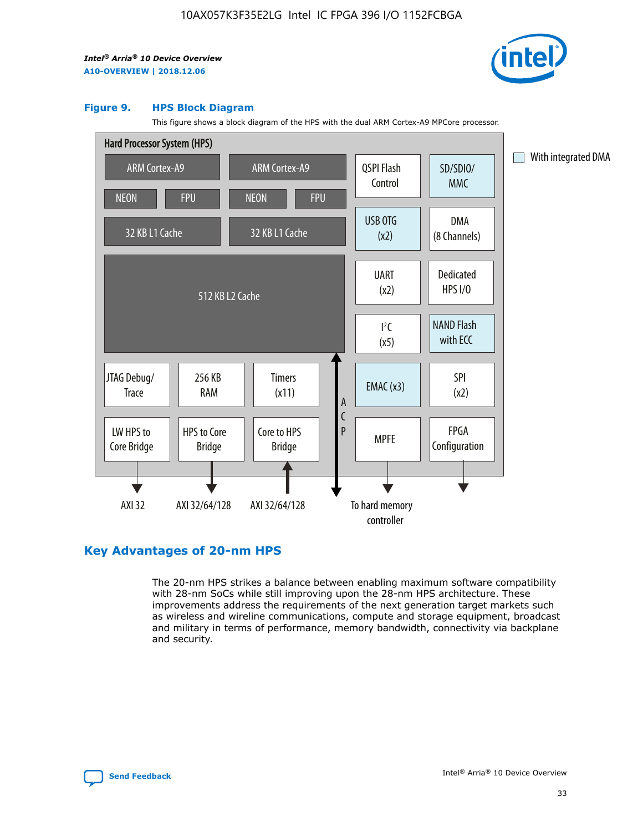

#### **Figure 9. HPS Block Diagram**

This figure shows a block diagram of the HPS with the dual ARM Cortex-A9 MPCore processor.



## **Key Advantages of 20-nm HPS**

The 20-nm HPS strikes a balance between enabling maximum software compatibility with 28-nm SoCs while still improving upon the 28-nm HPS architecture. These improvements address the requirements of the next generation target markets such as wireless and wireline communications, compute and storage equipment, broadcast and military in terms of performance, memory bandwidth, connectivity via backplane and security.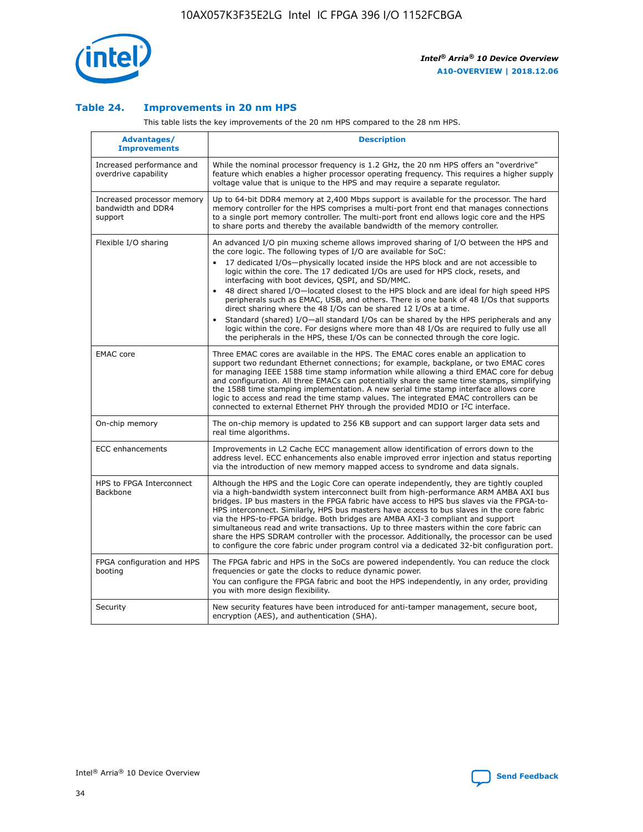

## **Table 24. Improvements in 20 nm HPS**

This table lists the key improvements of the 20 nm HPS compared to the 28 nm HPS.

| Advantages/<br><b>Improvements</b>                          | <b>Description</b>                                                                                                                                                                                                                                                                                                                                                                                                                                                                                                                                                                                                                                                                                                                                                                                                                                                                                                      |
|-------------------------------------------------------------|-------------------------------------------------------------------------------------------------------------------------------------------------------------------------------------------------------------------------------------------------------------------------------------------------------------------------------------------------------------------------------------------------------------------------------------------------------------------------------------------------------------------------------------------------------------------------------------------------------------------------------------------------------------------------------------------------------------------------------------------------------------------------------------------------------------------------------------------------------------------------------------------------------------------------|
| Increased performance and<br>overdrive capability           | While the nominal processor frequency is 1.2 GHz, the 20 nm HPS offers an "overdrive"<br>feature which enables a higher processor operating frequency. This requires a higher supply<br>voltage value that is unique to the HPS and may require a separate regulator.                                                                                                                                                                                                                                                                                                                                                                                                                                                                                                                                                                                                                                                   |
| Increased processor memory<br>bandwidth and DDR4<br>support | Up to 64-bit DDR4 memory at 2,400 Mbps support is available for the processor. The hard<br>memory controller for the HPS comprises a multi-port front end that manages connections<br>to a single port memory controller. The multi-port front end allows logic core and the HPS<br>to share ports and thereby the available bandwidth of the memory controller.                                                                                                                                                                                                                                                                                                                                                                                                                                                                                                                                                        |
| Flexible I/O sharing                                        | An advanced I/O pin muxing scheme allows improved sharing of I/O between the HPS and<br>the core logic. The following types of I/O are available for SoC:<br>17 dedicated I/Os-physically located inside the HPS block and are not accessible to<br>logic within the core. The 17 dedicated I/Os are used for HPS clock, resets, and<br>interfacing with boot devices, QSPI, and SD/MMC.<br>48 direct shared I/O-located closest to the HPS block and are ideal for high speed HPS<br>peripherals such as EMAC, USB, and others. There is one bank of 48 I/Os that supports<br>direct sharing where the 48 I/Os can be shared 12 I/Os at a time.<br>Standard (shared) I/O—all standard I/Os can be shared by the HPS peripherals and any<br>logic within the core. For designs where more than 48 I/Os are required to fully use all<br>the peripherals in the HPS, these I/Os can be connected through the core logic. |
| <b>EMAC</b> core                                            | Three EMAC cores are available in the HPS. The EMAC cores enable an application to<br>support two redundant Ethernet connections; for example, backplane, or two EMAC cores<br>for managing IEEE 1588 time stamp information while allowing a third EMAC core for debug<br>and configuration. All three EMACs can potentially share the same time stamps, simplifying<br>the 1588 time stamping implementation. A new serial time stamp interface allows core<br>logic to access and read the time stamp values. The integrated EMAC controllers can be<br>connected to external Ethernet PHY through the provided MDIO or I <sup>2</sup> C interface.                                                                                                                                                                                                                                                                  |
| On-chip memory                                              | The on-chip memory is updated to 256 KB support and can support larger data sets and<br>real time algorithms.                                                                                                                                                                                                                                                                                                                                                                                                                                                                                                                                                                                                                                                                                                                                                                                                           |
| <b>ECC</b> enhancements                                     | Improvements in L2 Cache ECC management allow identification of errors down to the<br>address level. ECC enhancements also enable improved error injection and status reporting<br>via the introduction of new memory mapped access to syndrome and data signals.                                                                                                                                                                                                                                                                                                                                                                                                                                                                                                                                                                                                                                                       |
| HPS to FPGA Interconnect<br>Backbone                        | Although the HPS and the Logic Core can operate independently, they are tightly coupled<br>via a high-bandwidth system interconnect built from high-performance ARM AMBA AXI bus<br>bridges. IP bus masters in the FPGA fabric have access to HPS bus slaves via the FPGA-to-<br>HPS interconnect. Similarly, HPS bus masters have access to bus slaves in the core fabric<br>via the HPS-to-FPGA bridge. Both bridges are AMBA AXI-3 compliant and support<br>simultaneous read and write transactions. Up to three masters within the core fabric can<br>share the HPS SDRAM controller with the processor. Additionally, the processor can be used<br>to configure the core fabric under program control via a dedicated 32-bit configuration port.                                                                                                                                                                  |
| FPGA configuration and HPS<br>booting                       | The FPGA fabric and HPS in the SoCs are powered independently. You can reduce the clock<br>frequencies or gate the clocks to reduce dynamic power.<br>You can configure the FPGA fabric and boot the HPS independently, in any order, providing<br>you with more design flexibility.                                                                                                                                                                                                                                                                                                                                                                                                                                                                                                                                                                                                                                    |
| Security                                                    | New security features have been introduced for anti-tamper management, secure boot,<br>encryption (AES), and authentication (SHA).                                                                                                                                                                                                                                                                                                                                                                                                                                                                                                                                                                                                                                                                                                                                                                                      |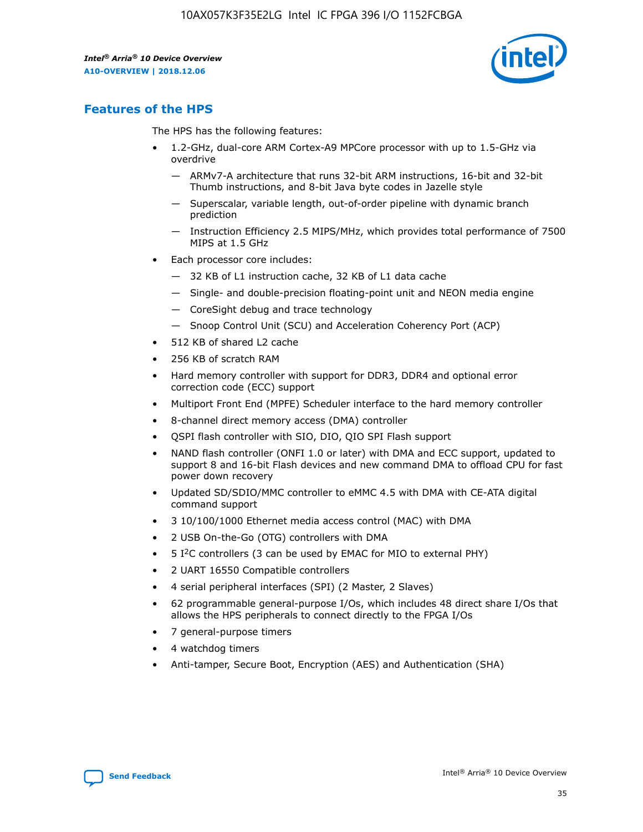

## **Features of the HPS**

The HPS has the following features:

- 1.2-GHz, dual-core ARM Cortex-A9 MPCore processor with up to 1.5-GHz via overdrive
	- ARMv7-A architecture that runs 32-bit ARM instructions, 16-bit and 32-bit Thumb instructions, and 8-bit Java byte codes in Jazelle style
	- Superscalar, variable length, out-of-order pipeline with dynamic branch prediction
	- Instruction Efficiency 2.5 MIPS/MHz, which provides total performance of 7500 MIPS at 1.5 GHz
- Each processor core includes:
	- 32 KB of L1 instruction cache, 32 KB of L1 data cache
	- Single- and double-precision floating-point unit and NEON media engine
	- CoreSight debug and trace technology
	- Snoop Control Unit (SCU) and Acceleration Coherency Port (ACP)
- 512 KB of shared L2 cache
- 256 KB of scratch RAM
- Hard memory controller with support for DDR3, DDR4 and optional error correction code (ECC) support
- Multiport Front End (MPFE) Scheduler interface to the hard memory controller
- 8-channel direct memory access (DMA) controller
- QSPI flash controller with SIO, DIO, QIO SPI Flash support
- NAND flash controller (ONFI 1.0 or later) with DMA and ECC support, updated to support 8 and 16-bit Flash devices and new command DMA to offload CPU for fast power down recovery
- Updated SD/SDIO/MMC controller to eMMC 4.5 with DMA with CE-ATA digital command support
- 3 10/100/1000 Ethernet media access control (MAC) with DMA
- 2 USB On-the-Go (OTG) controllers with DMA
- $\bullet$  5 I<sup>2</sup>C controllers (3 can be used by EMAC for MIO to external PHY)
- 2 UART 16550 Compatible controllers
- 4 serial peripheral interfaces (SPI) (2 Master, 2 Slaves)
- 62 programmable general-purpose I/Os, which includes 48 direct share I/Os that allows the HPS peripherals to connect directly to the FPGA I/Os
- 7 general-purpose timers
- 4 watchdog timers
- Anti-tamper, Secure Boot, Encryption (AES) and Authentication (SHA)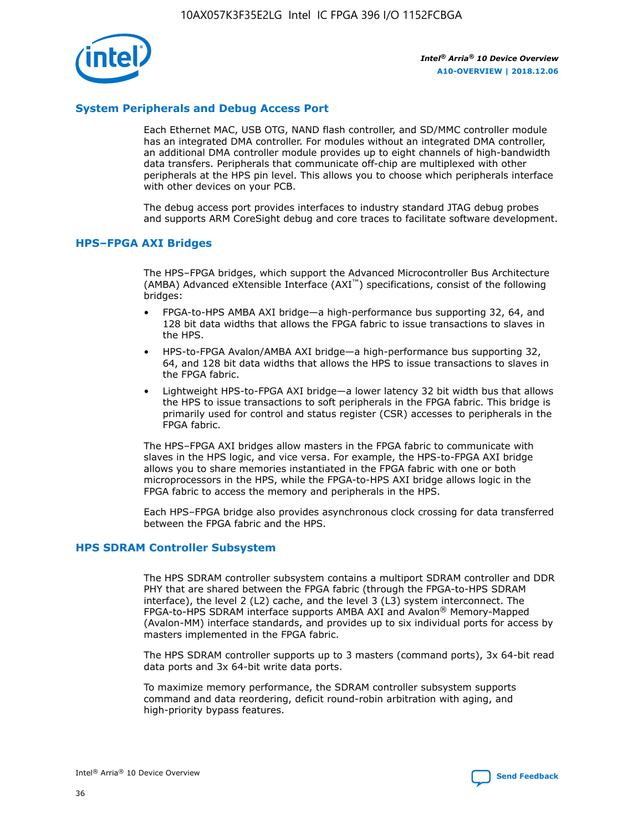

## **System Peripherals and Debug Access Port**

Each Ethernet MAC, USB OTG, NAND flash controller, and SD/MMC controller module has an integrated DMA controller. For modules without an integrated DMA controller, an additional DMA controller module provides up to eight channels of high-bandwidth data transfers. Peripherals that communicate off-chip are multiplexed with other peripherals at the HPS pin level. This allows you to choose which peripherals interface with other devices on your PCB.

The debug access port provides interfaces to industry standard JTAG debug probes and supports ARM CoreSight debug and core traces to facilitate software development.

#### **HPS–FPGA AXI Bridges**

The HPS–FPGA bridges, which support the Advanced Microcontroller Bus Architecture (AMBA) Advanced eXtensible Interface (AXI™) specifications, consist of the following bridges:

- FPGA-to-HPS AMBA AXI bridge—a high-performance bus supporting 32, 64, and 128 bit data widths that allows the FPGA fabric to issue transactions to slaves in the HPS.
- HPS-to-FPGA Avalon/AMBA AXI bridge—a high-performance bus supporting 32, 64, and 128 bit data widths that allows the HPS to issue transactions to slaves in the FPGA fabric.
- Lightweight HPS-to-FPGA AXI bridge—a lower latency 32 bit width bus that allows the HPS to issue transactions to soft peripherals in the FPGA fabric. This bridge is primarily used for control and status register (CSR) accesses to peripherals in the FPGA fabric.

The HPS–FPGA AXI bridges allow masters in the FPGA fabric to communicate with slaves in the HPS logic, and vice versa. For example, the HPS-to-FPGA AXI bridge allows you to share memories instantiated in the FPGA fabric with one or both microprocessors in the HPS, while the FPGA-to-HPS AXI bridge allows logic in the FPGA fabric to access the memory and peripherals in the HPS.

Each HPS–FPGA bridge also provides asynchronous clock crossing for data transferred between the FPGA fabric and the HPS.

#### **HPS SDRAM Controller Subsystem**

The HPS SDRAM controller subsystem contains a multiport SDRAM controller and DDR PHY that are shared between the FPGA fabric (through the FPGA-to-HPS SDRAM interface), the level 2 (L2) cache, and the level 3 (L3) system interconnect. The FPGA-to-HPS SDRAM interface supports AMBA AXI and Avalon® Memory-Mapped (Avalon-MM) interface standards, and provides up to six individual ports for access by masters implemented in the FPGA fabric.

The HPS SDRAM controller supports up to 3 masters (command ports), 3x 64-bit read data ports and 3x 64-bit write data ports.

To maximize memory performance, the SDRAM controller subsystem supports command and data reordering, deficit round-robin arbitration with aging, and high-priority bypass features.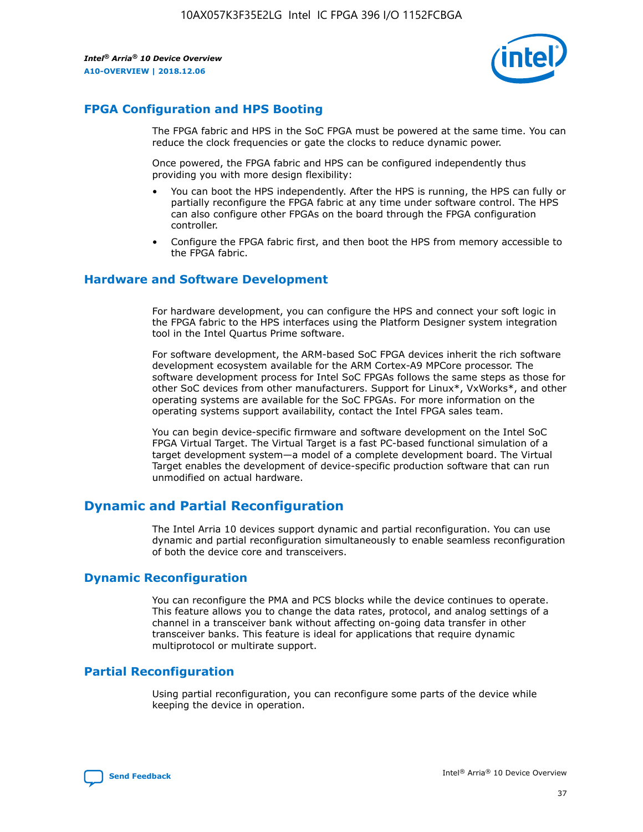

## **FPGA Configuration and HPS Booting**

The FPGA fabric and HPS in the SoC FPGA must be powered at the same time. You can reduce the clock frequencies or gate the clocks to reduce dynamic power.

Once powered, the FPGA fabric and HPS can be configured independently thus providing you with more design flexibility:

- You can boot the HPS independently. After the HPS is running, the HPS can fully or partially reconfigure the FPGA fabric at any time under software control. The HPS can also configure other FPGAs on the board through the FPGA configuration controller.
- Configure the FPGA fabric first, and then boot the HPS from memory accessible to the FPGA fabric.

## **Hardware and Software Development**

For hardware development, you can configure the HPS and connect your soft logic in the FPGA fabric to the HPS interfaces using the Platform Designer system integration tool in the Intel Quartus Prime software.

For software development, the ARM-based SoC FPGA devices inherit the rich software development ecosystem available for the ARM Cortex-A9 MPCore processor. The software development process for Intel SoC FPGAs follows the same steps as those for other SoC devices from other manufacturers. Support for Linux\*, VxWorks\*, and other operating systems are available for the SoC FPGAs. For more information on the operating systems support availability, contact the Intel FPGA sales team.

You can begin device-specific firmware and software development on the Intel SoC FPGA Virtual Target. The Virtual Target is a fast PC-based functional simulation of a target development system—a model of a complete development board. The Virtual Target enables the development of device-specific production software that can run unmodified on actual hardware.

## **Dynamic and Partial Reconfiguration**

The Intel Arria 10 devices support dynamic and partial reconfiguration. You can use dynamic and partial reconfiguration simultaneously to enable seamless reconfiguration of both the device core and transceivers.

## **Dynamic Reconfiguration**

You can reconfigure the PMA and PCS blocks while the device continues to operate. This feature allows you to change the data rates, protocol, and analog settings of a channel in a transceiver bank without affecting on-going data transfer in other transceiver banks. This feature is ideal for applications that require dynamic multiprotocol or multirate support.

## **Partial Reconfiguration**

Using partial reconfiguration, you can reconfigure some parts of the device while keeping the device in operation.

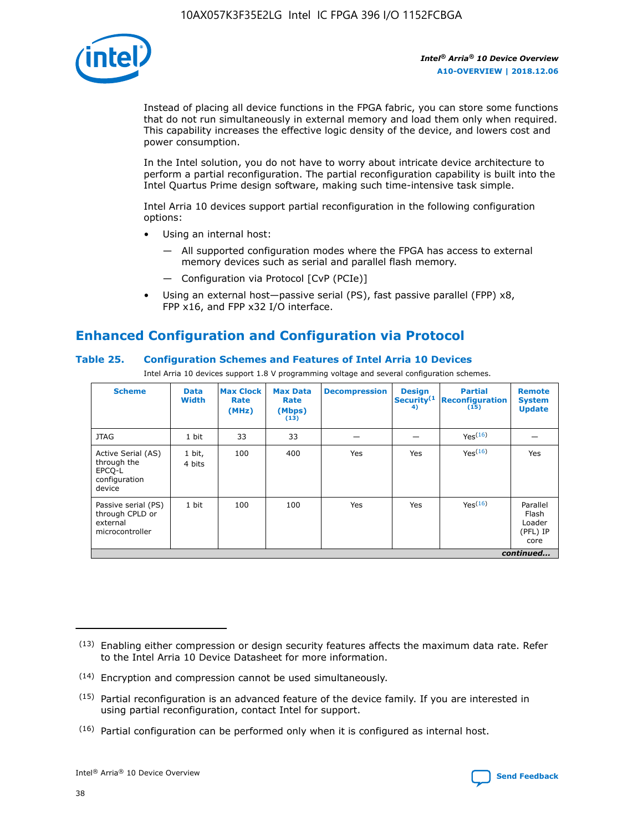

Instead of placing all device functions in the FPGA fabric, you can store some functions that do not run simultaneously in external memory and load them only when required. This capability increases the effective logic density of the device, and lowers cost and power consumption.

In the Intel solution, you do not have to worry about intricate device architecture to perform a partial reconfiguration. The partial reconfiguration capability is built into the Intel Quartus Prime design software, making such time-intensive task simple.

Intel Arria 10 devices support partial reconfiguration in the following configuration options:

- Using an internal host:
	- All supported configuration modes where the FPGA has access to external memory devices such as serial and parallel flash memory.
	- Configuration via Protocol [CvP (PCIe)]
- Using an external host—passive serial (PS), fast passive parallel (FPP) x8, FPP x16, and FPP x32 I/O interface.

## **Enhanced Configuration and Configuration via Protocol**

## **Table 25. Configuration Schemes and Features of Intel Arria 10 Devices**

Intel Arria 10 devices support 1.8 V programming voltage and several configuration schemes.

| <b>Scheme</b>                                                          | <b>Data</b><br><b>Width</b> | <b>Max Clock</b><br>Rate<br>(MHz) | <b>Max Data</b><br>Rate<br>(Mbps)<br>(13) | <b>Decompression</b> | <b>Design</b><br>Security <sup>(1</sup><br>4) | <b>Partial</b><br>Reconfiguration<br>(15) | <b>Remote</b><br><b>System</b><br><b>Update</b> |
|------------------------------------------------------------------------|-----------------------------|-----------------------------------|-------------------------------------------|----------------------|-----------------------------------------------|-------------------------------------------|-------------------------------------------------|
| <b>JTAG</b>                                                            | 1 bit                       | 33                                | 33                                        |                      |                                               | Yes(16)                                   |                                                 |
| Active Serial (AS)<br>through the<br>EPCO-L<br>configuration<br>device | 1 bit,<br>4 bits            | 100                               | 400                                       | Yes                  | Yes                                           | Yes(16)                                   | Yes                                             |
| Passive serial (PS)<br>through CPLD or<br>external<br>microcontroller  | 1 bit                       | 100                               | 100                                       | Yes                  | Yes                                           | Yes <sup>(16)</sup>                       | Parallel<br>Flash<br>Loader<br>(PFL) IP<br>core |
|                                                                        | continued                   |                                   |                                           |                      |                                               |                                           |                                                 |

<sup>(13)</sup> Enabling either compression or design security features affects the maximum data rate. Refer to the Intel Arria 10 Device Datasheet for more information.

<sup>(14)</sup> Encryption and compression cannot be used simultaneously.

 $(15)$  Partial reconfiguration is an advanced feature of the device family. If you are interested in using partial reconfiguration, contact Intel for support.

 $(16)$  Partial configuration can be performed only when it is configured as internal host.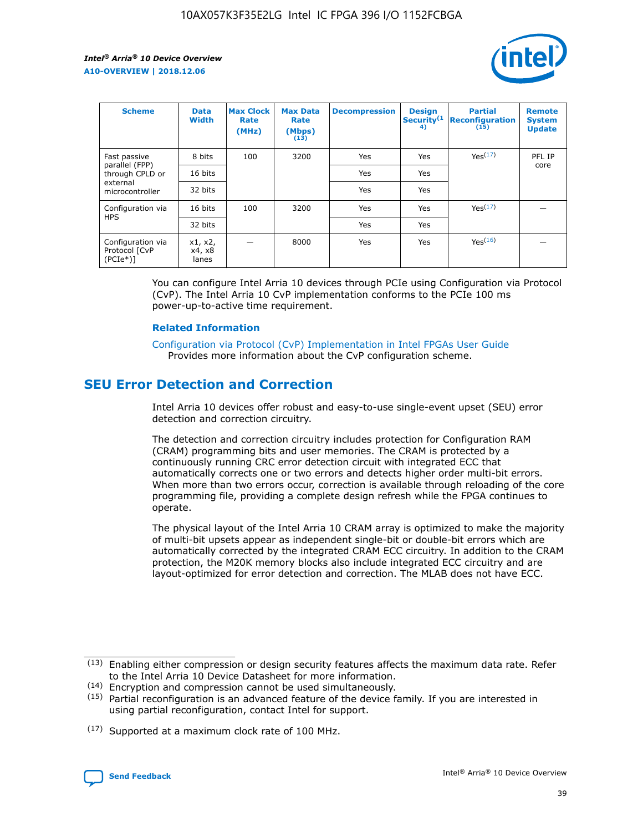

| <b>Scheme</b>                                   | <b>Data</b><br><b>Width</b> | <b>Max Clock</b><br>Rate<br>(MHz) | <b>Max Data</b><br>Rate<br>(Mbps)<br>(13) | <b>Decompression</b> | <b>Design</b><br>Security <sup>(1</sup><br>4) | <b>Partial</b><br><b>Reconfiguration</b><br>(15) | <b>Remote</b><br><b>System</b><br><b>Update</b> |
|-------------------------------------------------|-----------------------------|-----------------------------------|-------------------------------------------|----------------------|-----------------------------------------------|--------------------------------------------------|-------------------------------------------------|
| Fast passive                                    | 8 bits                      | 100                               | 3200                                      | Yes                  | Yes                                           | Yes(17)                                          | PFL IP                                          |
| parallel (FPP)<br>through CPLD or               | 16 bits                     |                                   |                                           | Yes                  | Yes                                           |                                                  | core                                            |
| external<br>microcontroller                     | 32 bits                     |                                   |                                           | Yes                  | Yes                                           |                                                  |                                                 |
| Configuration via                               | 16 bits                     | 100                               | 3200                                      | Yes                  | Yes                                           | Yes <sup>(17)</sup>                              |                                                 |
| <b>HPS</b>                                      | 32 bits                     |                                   |                                           | Yes                  | Yes                                           |                                                  |                                                 |
| Configuration via<br>Protocol [CvP<br>$(PCIe*)$ | x1, x2,<br>x4, x8<br>lanes  |                                   | 8000                                      | Yes                  | Yes                                           | Yes(16)                                          |                                                 |

You can configure Intel Arria 10 devices through PCIe using Configuration via Protocol (CvP). The Intel Arria 10 CvP implementation conforms to the PCIe 100 ms power-up-to-active time requirement.

#### **Related Information**

[Configuration via Protocol \(CvP\) Implementation in Intel FPGAs User Guide](https://www.intel.com/content/www/us/en/programmable/documentation/dsu1441819344145.html#dsu1442269728522) Provides more information about the CvP configuration scheme.

## **SEU Error Detection and Correction**

Intel Arria 10 devices offer robust and easy-to-use single-event upset (SEU) error detection and correction circuitry.

The detection and correction circuitry includes protection for Configuration RAM (CRAM) programming bits and user memories. The CRAM is protected by a continuously running CRC error detection circuit with integrated ECC that automatically corrects one or two errors and detects higher order multi-bit errors. When more than two errors occur, correction is available through reloading of the core programming file, providing a complete design refresh while the FPGA continues to operate.

The physical layout of the Intel Arria 10 CRAM array is optimized to make the majority of multi-bit upsets appear as independent single-bit or double-bit errors which are automatically corrected by the integrated CRAM ECC circuitry. In addition to the CRAM protection, the M20K memory blocks also include integrated ECC circuitry and are layout-optimized for error detection and correction. The MLAB does not have ECC.

(14) Encryption and compression cannot be used simultaneously.

<sup>(17)</sup> Supported at a maximum clock rate of 100 MHz.



 $(13)$  Enabling either compression or design security features affects the maximum data rate. Refer to the Intel Arria 10 Device Datasheet for more information.

 $(15)$  Partial reconfiguration is an advanced feature of the device family. If you are interested in using partial reconfiguration, contact Intel for support.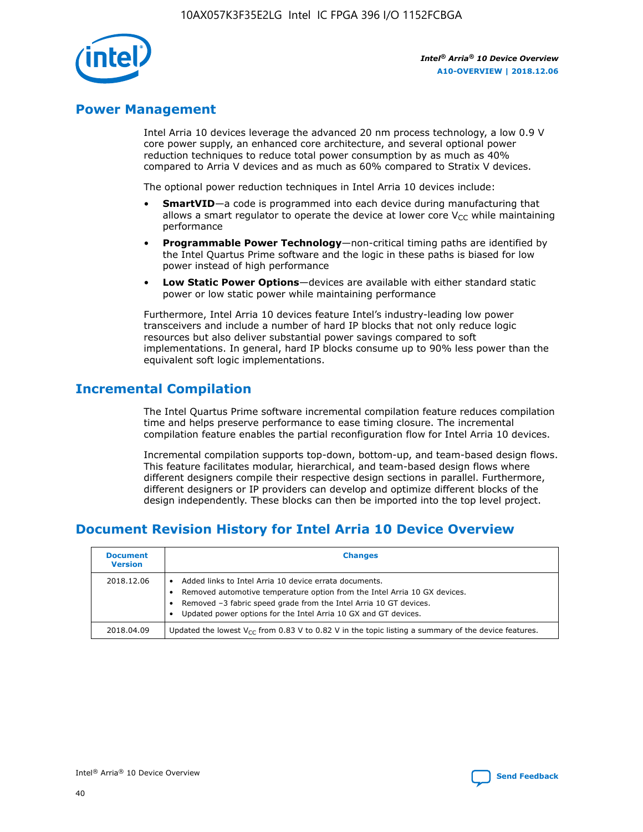

## **Power Management**

Intel Arria 10 devices leverage the advanced 20 nm process technology, a low 0.9 V core power supply, an enhanced core architecture, and several optional power reduction techniques to reduce total power consumption by as much as 40% compared to Arria V devices and as much as 60% compared to Stratix V devices.

The optional power reduction techniques in Intel Arria 10 devices include:

- **SmartVID**—a code is programmed into each device during manufacturing that allows a smart regulator to operate the device at lower core  $V_{CC}$  while maintaining performance
- **Programmable Power Technology**—non-critical timing paths are identified by the Intel Quartus Prime software and the logic in these paths is biased for low power instead of high performance
- **Low Static Power Options**—devices are available with either standard static power or low static power while maintaining performance

Furthermore, Intel Arria 10 devices feature Intel's industry-leading low power transceivers and include a number of hard IP blocks that not only reduce logic resources but also deliver substantial power savings compared to soft implementations. In general, hard IP blocks consume up to 90% less power than the equivalent soft logic implementations.

## **Incremental Compilation**

The Intel Quartus Prime software incremental compilation feature reduces compilation time and helps preserve performance to ease timing closure. The incremental compilation feature enables the partial reconfiguration flow for Intel Arria 10 devices.

Incremental compilation supports top-down, bottom-up, and team-based design flows. This feature facilitates modular, hierarchical, and team-based design flows where different designers compile their respective design sections in parallel. Furthermore, different designers or IP providers can develop and optimize different blocks of the design independently. These blocks can then be imported into the top level project.

## **Document Revision History for Intel Arria 10 Device Overview**

| <b>Document</b><br><b>Version</b> | <b>Changes</b>                                                                                                                                                                                                                                                              |
|-----------------------------------|-----------------------------------------------------------------------------------------------------------------------------------------------------------------------------------------------------------------------------------------------------------------------------|
| 2018.12.06                        | Added links to Intel Arria 10 device errata documents.<br>Removed automotive temperature option from the Intel Arria 10 GX devices.<br>Removed -3 fabric speed grade from the Intel Arria 10 GT devices.<br>Updated power options for the Intel Arria 10 GX and GT devices. |
| 2018.04.09                        | Updated the lowest $V_{CC}$ from 0.83 V to 0.82 V in the topic listing a summary of the device features.                                                                                                                                                                    |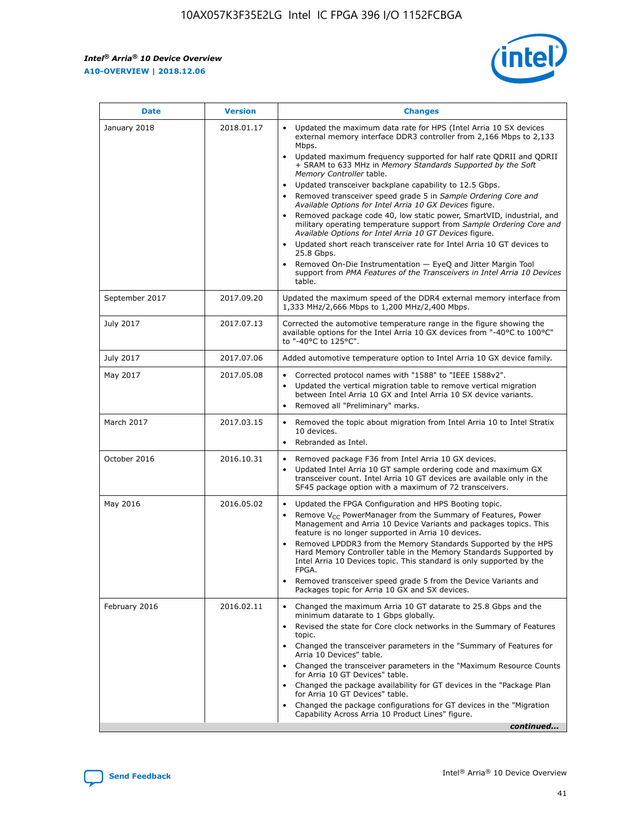*Intel® Arria® 10 Device Overview* **A10-OVERVIEW | 2018.12.06**



| <b>Date</b>    | <b>Version</b> | <b>Changes</b>                                                                                                                                                                                                                                                                                                                                                                                                                                                                                                                                                                                                                                                                                                                                                                                                                                                                                                                                                            |
|----------------|----------------|---------------------------------------------------------------------------------------------------------------------------------------------------------------------------------------------------------------------------------------------------------------------------------------------------------------------------------------------------------------------------------------------------------------------------------------------------------------------------------------------------------------------------------------------------------------------------------------------------------------------------------------------------------------------------------------------------------------------------------------------------------------------------------------------------------------------------------------------------------------------------------------------------------------------------------------------------------------------------|
| January 2018   | 2018.01.17     | Updated the maximum data rate for HPS (Intel Arria 10 SX devices<br>external memory interface DDR3 controller from 2,166 Mbps to 2,133<br>Mbps.<br>Updated maximum frequency supported for half rate QDRII and QDRII<br>+ SRAM to 633 MHz in Memory Standards Supported by the Soft<br>Memory Controller table.<br>Updated transceiver backplane capability to 12.5 Gbps.<br>$\bullet$<br>Removed transceiver speed grade 5 in Sample Ordering Core and<br>Available Options for Intel Arria 10 GX Devices figure.<br>Removed package code 40, low static power, SmartVID, industrial, and<br>military operating temperature support from Sample Ordering Core and<br>Available Options for Intel Arria 10 GT Devices figure.<br>Updated short reach transceiver rate for Intel Arria 10 GT devices to<br>25.8 Gbps.<br>Removed On-Die Instrumentation - EyeQ and Jitter Margin Tool<br>support from PMA Features of the Transceivers in Intel Arria 10 Devices<br>table. |
| September 2017 | 2017.09.20     | Updated the maximum speed of the DDR4 external memory interface from<br>1,333 MHz/2,666 Mbps to 1,200 MHz/2,400 Mbps.                                                                                                                                                                                                                                                                                                                                                                                                                                                                                                                                                                                                                                                                                                                                                                                                                                                     |
| July 2017      | 2017.07.13     | Corrected the automotive temperature range in the figure showing the<br>available options for the Intel Arria 10 GX devices from "-40°C to 100°C"<br>to "-40°C to 125°C".                                                                                                                                                                                                                                                                                                                                                                                                                                                                                                                                                                                                                                                                                                                                                                                                 |
| July 2017      | 2017.07.06     | Added automotive temperature option to Intel Arria 10 GX device family.                                                                                                                                                                                                                                                                                                                                                                                                                                                                                                                                                                                                                                                                                                                                                                                                                                                                                                   |
| May 2017       | 2017.05.08     | Corrected protocol names with "1588" to "IEEE 1588v2".<br>$\bullet$<br>Updated the vertical migration table to remove vertical migration<br>$\bullet$<br>between Intel Arria 10 GX and Intel Arria 10 SX device variants.<br>Removed all "Preliminary" marks.<br>$\bullet$                                                                                                                                                                                                                                                                                                                                                                                                                                                                                                                                                                                                                                                                                                |
| March 2017     | 2017.03.15     | Removed the topic about migration from Intel Arria 10 to Intel Stratix<br>10 devices.<br>Rebranded as Intel.<br>$\bullet$                                                                                                                                                                                                                                                                                                                                                                                                                                                                                                                                                                                                                                                                                                                                                                                                                                                 |
| October 2016   | 2016.10.31     | Removed package F36 from Intel Arria 10 GX devices.<br>Updated Intel Arria 10 GT sample ordering code and maximum GX<br>$\bullet$<br>transceiver count. Intel Arria 10 GT devices are available only in the<br>SF45 package option with a maximum of 72 transceivers.                                                                                                                                                                                                                                                                                                                                                                                                                                                                                                                                                                                                                                                                                                     |
| May 2016       | 2016.05.02     | Updated the FPGA Configuration and HPS Booting topic.<br>$\bullet$<br>Remove V <sub>CC</sub> PowerManager from the Summary of Features, Power<br>Management and Arria 10 Device Variants and packages topics. This<br>feature is no longer supported in Arria 10 devices.<br>Removed LPDDR3 from the Memory Standards Supported by the HPS<br>Hard Memory Controller table in the Memory Standards Supported by<br>Intel Arria 10 Devices topic. This standard is only supported by the<br>FPGA.<br>Removed transceiver speed grade 5 from the Device Variants and<br>Packages topic for Arria 10 GX and SX devices.                                                                                                                                                                                                                                                                                                                                                      |
| February 2016  | 2016.02.11     | Changed the maximum Arria 10 GT datarate to 25.8 Gbps and the<br>minimum datarate to 1 Gbps globally.<br>Revised the state for Core clock networks in the Summary of Features<br>$\bullet$<br>topic.<br>Changed the transceiver parameters in the "Summary of Features for<br>$\bullet$<br>Arria 10 Devices" table.<br>• Changed the transceiver parameters in the "Maximum Resource Counts<br>for Arria 10 GT Devices" table.<br>Changed the package availability for GT devices in the "Package Plan<br>for Arria 10 GT Devices" table.<br>Changed the package configurations for GT devices in the "Migration"<br>Capability Across Arria 10 Product Lines" figure.<br>continued                                                                                                                                                                                                                                                                                       |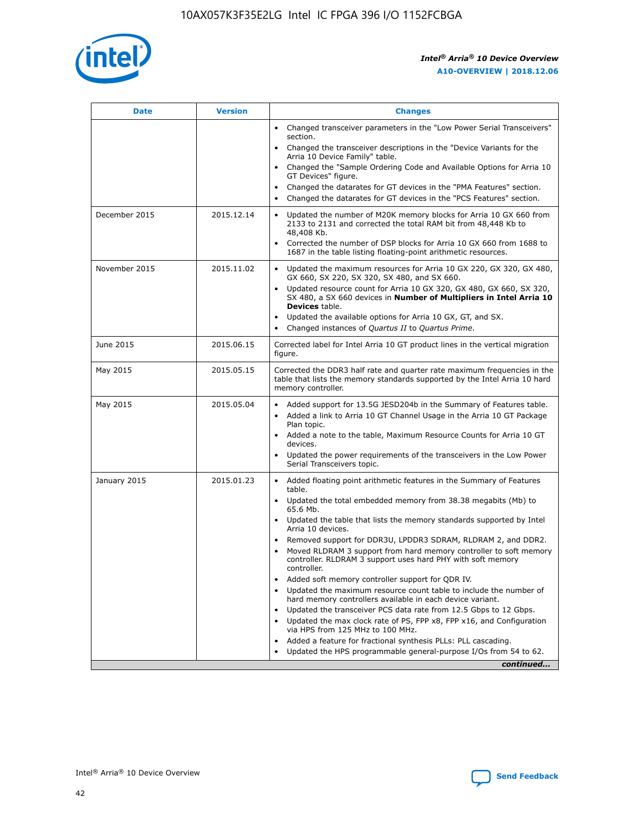

| <b>Date</b>   | <b>Version</b> | <b>Changes</b>                                                                                                                                                                   |
|---------------|----------------|----------------------------------------------------------------------------------------------------------------------------------------------------------------------------------|
|               |                | • Changed transceiver parameters in the "Low Power Serial Transceivers"<br>section.                                                                                              |
|               |                | • Changed the transceiver descriptions in the "Device Variants for the<br>Arria 10 Device Family" table.                                                                         |
|               |                | Changed the "Sample Ordering Code and Available Options for Arria 10<br>GT Devices" figure.                                                                                      |
|               |                | Changed the datarates for GT devices in the "PMA Features" section.                                                                                                              |
|               |                | Changed the datarates for GT devices in the "PCS Features" section.<br>$\bullet$                                                                                                 |
| December 2015 | 2015.12.14     | Updated the number of M20K memory blocks for Arria 10 GX 660 from<br>$\bullet$<br>2133 to 2131 and corrected the total RAM bit from 48,448 Kb to<br>48,408 Kb.                   |
|               |                | Corrected the number of DSP blocks for Arria 10 GX 660 from 1688 to<br>$\bullet$<br>1687 in the table listing floating-point arithmetic resources.                               |
| November 2015 | 2015.11.02     | Updated the maximum resources for Arria 10 GX 220, GX 320, GX 480,<br>$\bullet$<br>GX 660, SX 220, SX 320, SX 480, and SX 660.                                                   |
|               |                | Updated resource count for Arria 10 GX 320, GX 480, GX 660, SX 320,<br>$\bullet$<br>SX 480, a SX 660 devices in Number of Multipliers in Intel Arria 10<br><b>Devices</b> table. |
|               |                | Updated the available options for Arria 10 GX, GT, and SX.<br>$\bullet$                                                                                                          |
|               |                | Changed instances of Quartus II to Quartus Prime.<br>$\bullet$                                                                                                                   |
| June 2015     | 2015.06.15     | Corrected label for Intel Arria 10 GT product lines in the vertical migration<br>figure.                                                                                         |
| May 2015      | 2015.05.15     | Corrected the DDR3 half rate and quarter rate maximum frequencies in the<br>table that lists the memory standards supported by the Intel Arria 10 hard<br>memory controller.     |
| May 2015      | 2015.05.04     | • Added support for 13.5G JESD204b in the Summary of Features table.<br>• Added a link to Arria 10 GT Channel Usage in the Arria 10 GT Package<br>Plan topic.                    |
|               |                | • Added a note to the table, Maximum Resource Counts for Arria 10 GT<br>devices.                                                                                                 |
|               |                | Updated the power requirements of the transceivers in the Low Power<br>Serial Transceivers topic.                                                                                |
| January 2015  | 2015.01.23     | • Added floating point arithmetic features in the Summary of Features<br>table.                                                                                                  |
|               |                | • Updated the total embedded memory from 38.38 megabits (Mb) to<br>65.6 Mb.                                                                                                      |
|               |                | • Updated the table that lists the memory standards supported by Intel<br>Arria 10 devices.                                                                                      |
|               |                | Removed support for DDR3U, LPDDR3 SDRAM, RLDRAM 2, and DDR2.<br>Moved RLDRAM 3 support from hard memory controller to soft memory                                                |
|               |                | controller. RLDRAM 3 support uses hard PHY with soft memory<br>controller.                                                                                                       |
|               |                | Added soft memory controller support for QDR IV.                                                                                                                                 |
|               |                | Updated the maximum resource count table to include the number of<br>hard memory controllers available in each device variant.                                                   |
|               |                | Updated the transceiver PCS data rate from 12.5 Gbps to 12 Gbps.<br>$\bullet$                                                                                                    |
|               |                | Updated the max clock rate of PS, FPP x8, FPP x16, and Configuration<br>via HPS from 125 MHz to 100 MHz.                                                                         |
|               |                | Added a feature for fractional synthesis PLLs: PLL cascading.                                                                                                                    |
|               |                | Updated the HPS programmable general-purpose I/Os from 54 to 62.<br>$\bullet$                                                                                                    |
|               |                | continued                                                                                                                                                                        |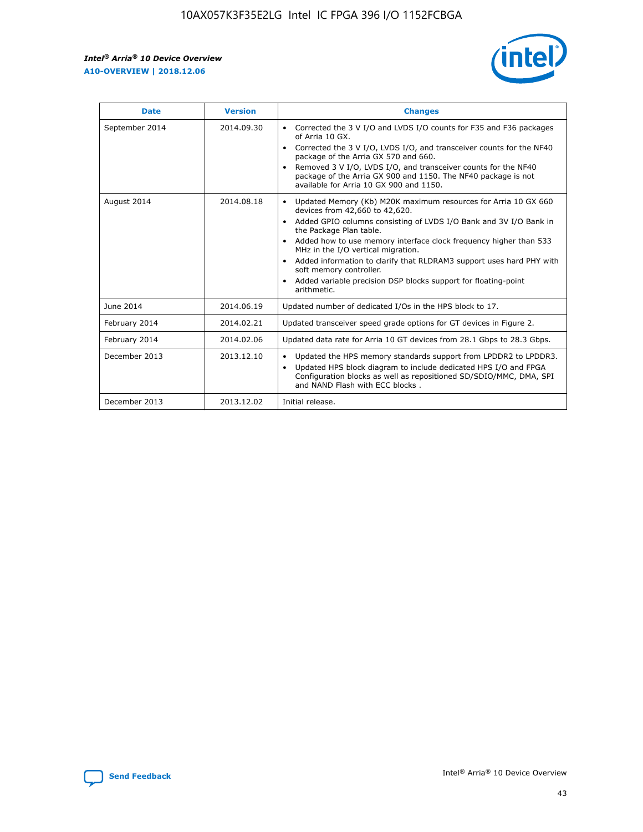r



| <b>Date</b>    | <b>Version</b> | <b>Changes</b>                                                                                                                                                                                                                                                                                                                                                                                                                                                                                                                                      |
|----------------|----------------|-----------------------------------------------------------------------------------------------------------------------------------------------------------------------------------------------------------------------------------------------------------------------------------------------------------------------------------------------------------------------------------------------------------------------------------------------------------------------------------------------------------------------------------------------------|
| September 2014 | 2014.09.30     | Corrected the 3 V I/O and LVDS I/O counts for F35 and F36 packages<br>$\bullet$<br>of Arria 10 GX.<br>Corrected the 3 V I/O, LVDS I/O, and transceiver counts for the NF40<br>$\bullet$<br>package of the Arria GX 570 and 660.<br>Removed 3 V I/O, LVDS I/O, and transceiver counts for the NF40<br>$\bullet$<br>package of the Arria GX 900 and 1150. The NF40 package is not<br>available for Arria 10 GX 900 and 1150.                                                                                                                          |
| August 2014    | 2014.08.18     | Updated Memory (Kb) M20K maximum resources for Arria 10 GX 660<br>devices from 42,660 to 42,620.<br>Added GPIO columns consisting of LVDS I/O Bank and 3V I/O Bank in<br>$\bullet$<br>the Package Plan table.<br>Added how to use memory interface clock frequency higher than 533<br>$\bullet$<br>MHz in the I/O vertical migration.<br>Added information to clarify that RLDRAM3 support uses hard PHY with<br>$\bullet$<br>soft memory controller.<br>Added variable precision DSP blocks support for floating-point<br>$\bullet$<br>arithmetic. |
| June 2014      | 2014.06.19     | Updated number of dedicated I/Os in the HPS block to 17.                                                                                                                                                                                                                                                                                                                                                                                                                                                                                            |
| February 2014  | 2014.02.21     | Updated transceiver speed grade options for GT devices in Figure 2.                                                                                                                                                                                                                                                                                                                                                                                                                                                                                 |
| February 2014  | 2014.02.06     | Updated data rate for Arria 10 GT devices from 28.1 Gbps to 28.3 Gbps.                                                                                                                                                                                                                                                                                                                                                                                                                                                                              |
| December 2013  | 2013.12.10     | Updated the HPS memory standards support from LPDDR2 to LPDDR3.<br>Updated HPS block diagram to include dedicated HPS I/O and FPGA<br>$\bullet$<br>Configuration blocks as well as repositioned SD/SDIO/MMC, DMA, SPI<br>and NAND Flash with ECC blocks.                                                                                                                                                                                                                                                                                            |
| December 2013  | 2013.12.02     | Initial release.                                                                                                                                                                                                                                                                                                                                                                                                                                                                                                                                    |